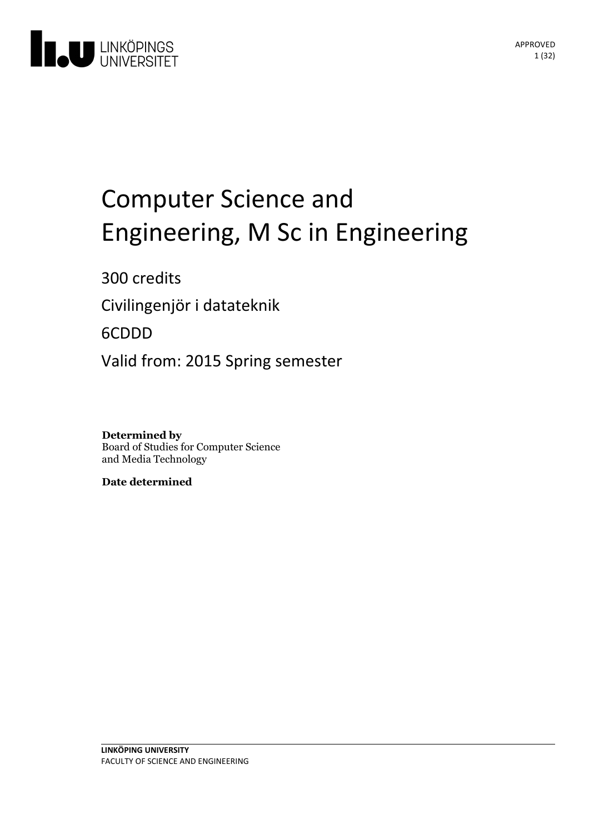

# Computer Science and Engineering, M Sc in Engineering

300 credits Civilingenjör i datateknik

6CDDD

Valid from: 2015 Spring semester

**Determined by** Board of Studies for Computer Science and Media Technology

**Date determined**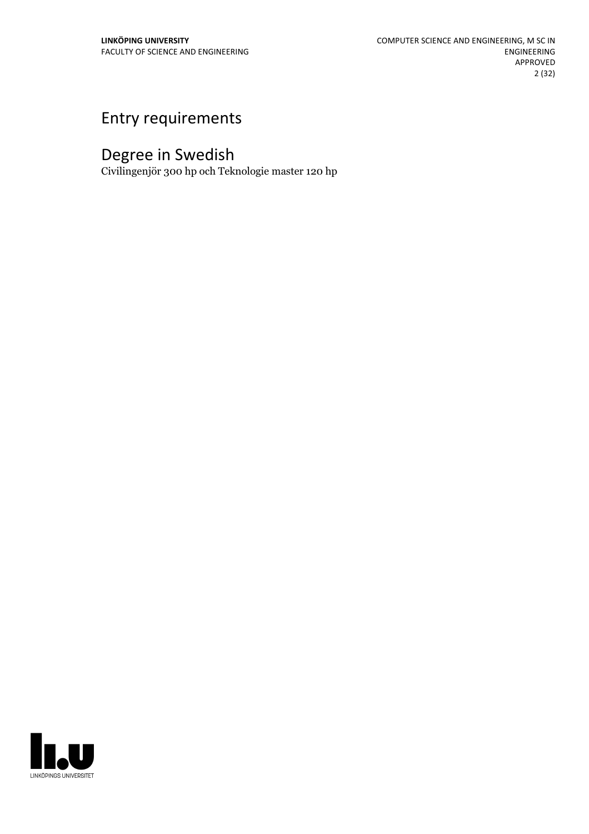# Entry requirements

# Degree in Swedish

Civilingenjör 300 hp och Teknologie master 120 hp

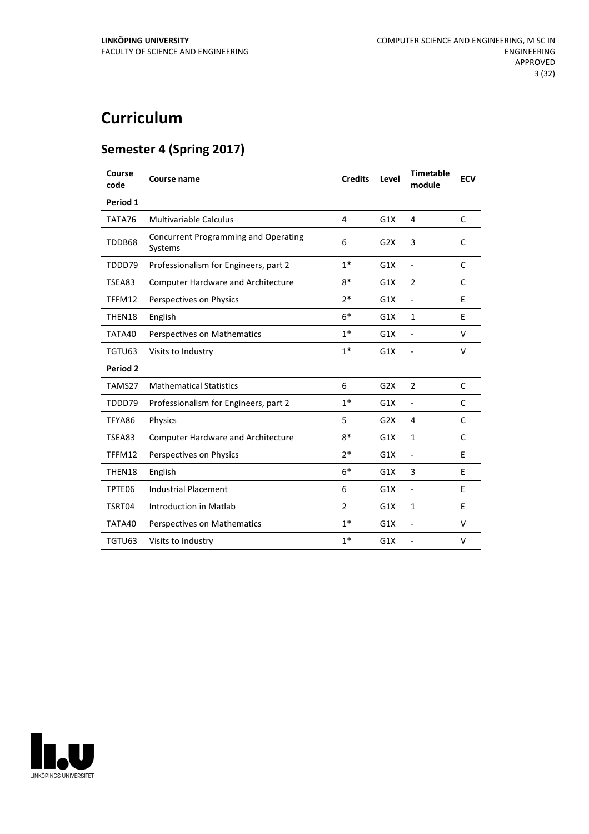# **Curriculum**

# **Semester 4 (Spring 2017)**

| Course<br>code  | <b>Course name</b>                                     | <b>Credits</b> | Level | <b>Timetable</b><br>module | <b>ECV</b> |
|-----------------|--------------------------------------------------------|----------------|-------|----------------------------|------------|
| Period 1        |                                                        |                |       |                            |            |
| TATA76          | <b>Multivariable Calculus</b>                          | 4              | G1X   | 4                          | C          |
| TDDB68          | <b>Concurrent Programming and Operating</b><br>Systems | 6              | G2X   | 3                          | C          |
| TDDD79          | Professionalism for Engineers, part 2                  | $1*$           | G1X   | ÷,                         | C          |
| TSEA83          | <b>Computer Hardware and Architecture</b>              | $8*$           | G1X   | 2                          | C          |
| TFFM12          | Perspectives on Physics                                | $2*$           | G1X   | ÷,                         | E          |
| THEN18          | English                                                | $6*$           | G1X   | $\mathbf{1}$               | E          |
| TATA40          | Perspectives on Mathematics                            | $1*$           | G1X   | ÷,                         | V          |
| TGTU63          | Visits to Industry                                     | $1*$           | G1X   | $\overline{a}$             | V          |
| <b>Period 2</b> |                                                        |                |       |                            |            |
| TAMS27          | <b>Mathematical Statistics</b>                         | 6              | G2X   | $\overline{2}$             | C          |
| TDDD79          | Professionalism for Engineers, part 2                  | $1*$           | G1X   | ÷,                         | C          |
| TFYA86          | Physics                                                | 5              | G2X   | 4                          | C          |
| TSEA83          | <b>Computer Hardware and Architecture</b>              | $8*$           | G1X   | $\mathbf{1}$               | C          |
| TFFM12          | Perspectives on Physics                                | $2*$           | G1X   | $\blacksquare$             | E          |
| THEN18          | English                                                | $6*$           | G1X   | 3                          | E          |
| TPTE06          | <b>Industrial Placement</b>                            | 6              | G1X   | $\overline{\phantom{0}}$   | F          |
| TSRT04          | Introduction in Matlab                                 | $\overline{2}$ | G1X   | $\mathbf{1}$               | E          |
| TATA40          | Perspectives on Mathematics                            | $1*$           | G1X   | $\overline{a}$             | $\vee$     |
| TGTU63          | Visits to Industry                                     | $1*$           | G1X   |                            | V          |

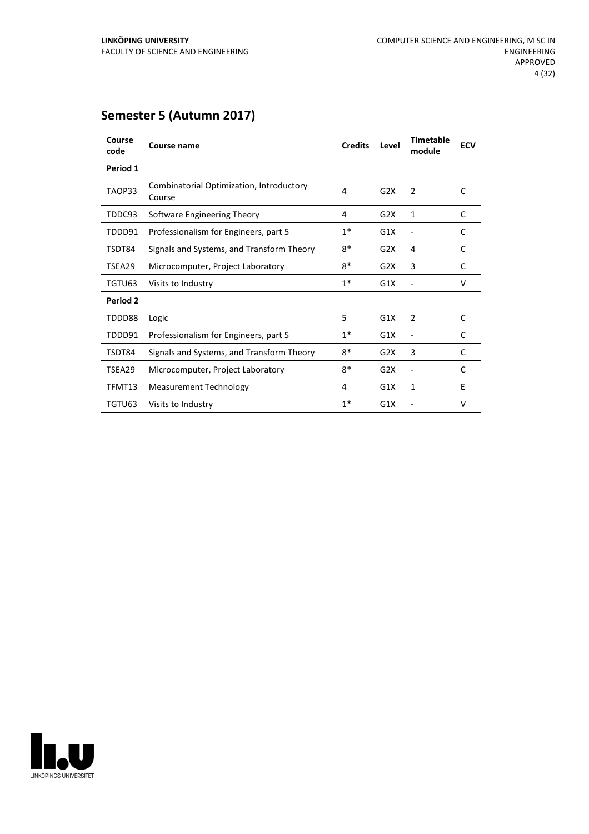| Course<br>code | <b>Course name</b>                                 | <b>Credits</b> | Level | <b>Timetable</b><br>module | <b>ECV</b> |
|----------------|----------------------------------------------------|----------------|-------|----------------------------|------------|
| Period 1       |                                                    |                |       |                            |            |
| TAOP33         | Combinatorial Optimization, Introductory<br>Course | 4              | G2X   | 2                          | C          |
| TDDC93         | Software Engineering Theory                        | 4              | G2X   | 1                          | C          |
| TDDD91         | Professionalism for Engineers, part 5              | $1^*$          | G1X   |                            | C          |
| TSDT84         | Signals and Systems, and Transform Theory          | $8*$           | G2X   | 4                          | C          |
| TSEA29         | Microcomputer, Project Laboratory                  | $8*$           | G2X   | 3                          | C          |
| TGTU63         | Visits to Industry                                 | $1*$           | G1X   |                            | V          |
| Period 2       |                                                    |                |       |                            |            |
| TDDD88         | Logic                                              | 5              | G1X   | 2                          | C          |
| TDDD91         | Professionalism for Engineers, part 5              | $1*$           | G1X   | ÷                          | C          |
| TSDT84         | Signals and Systems, and Transform Theory          | $8*$           | G2X   | 3                          | C          |
| TSEA29         | Microcomputer, Project Laboratory                  | $8*$           | G2X   | Ē,                         | C          |
| TFMT13         | <b>Measurement Technology</b>                      | 4              | G1X   | 1                          | E          |
| TGTU63         | Visits to Industry                                 | $1*$           | G1X   |                            | v          |

# **Semester 5 (Autumn 2017)**

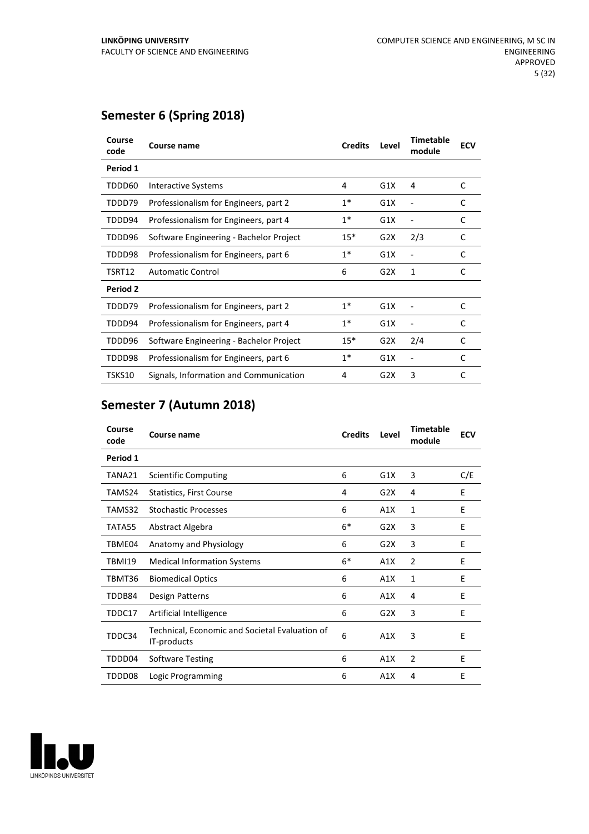# **Semester 6 (Spring 2018)**

| Course<br>code | Course name                             | <b>Credits</b> | Level | <b>Timetable</b><br>module | <b>ECV</b> |
|----------------|-----------------------------------------|----------------|-------|----------------------------|------------|
| Period 1       |                                         |                |       |                            |            |
| TDDD60         | Interactive Systems                     | 4              | G1X   | 4                          | C          |
| TDDD79         | Professionalism for Engineers, part 2   | $1*$           | G1X   |                            | C          |
| TDDD94         | Professionalism for Engineers, part 4   | $1*$           | G1X   |                            | C          |
| TDDD96         | Software Engineering - Bachelor Project | $15*$          | G2X   | 2/3                        | C          |
| TDDD98         | Professionalism for Engineers, part 6   | $1*$           | G1X   |                            | C          |
| TSRT12         | <b>Automatic Control</b>                | 6              | G2X   | 1                          | C          |
| Period 2       |                                         |                |       |                            |            |
| TDDD79         | Professionalism for Engineers, part 2   | $1*$           | G1X   |                            | C          |
| TDDD94         | Professionalism for Engineers, part 4   | $1*$           | G1X   |                            | C          |
| TDDD96         | Software Engineering - Bachelor Project | $15*$          | G2X   | 2/4                        | C          |
| TDDD98         | Professionalism for Engineers, part 6   | $1*$           | G1X   | ÷                          | C          |
| TSKS10         | Signals, Information and Communication  | 4              | G2X   | 3                          | C          |

# **Semester 7 (Autumn 2018)**

| Course<br>code | Course name                                                   | <b>Credits</b> | Level | <b>Timetable</b><br>module | <b>ECV</b> |
|----------------|---------------------------------------------------------------|----------------|-------|----------------------------|------------|
| Period 1       |                                                               |                |       |                            |            |
| TANA21         | <b>Scientific Computing</b>                                   | 6              | G1X   | 3                          | C/E        |
| TAMS24         | Statistics, First Course                                      | 4              | G2X   | 4                          | Ε          |
| TAMS32         | <b>Stochastic Processes</b>                                   | 6              | A1X   | 1                          | E          |
| TATA55         | Abstract Algebra                                              | $6*$           | G2X   | 3                          | Ε          |
| TBME04         | Anatomy and Physiology                                        | 6              | G2X   | 3                          | E          |
| <b>TBMI19</b>  | <b>Medical Information Systems</b>                            | $6*$           | A1X   | 2                          | E          |
| TBMT36         | <b>Biomedical Optics</b>                                      | 6              | A1X   | 1                          | E          |
| TDDB84         | <b>Design Patterns</b>                                        | 6              | A1X   | 4                          | E          |
| TDDC17         | Artificial Intelligence                                       | 6              | G2X   | 3                          | E          |
| TDDC34         | Technical, Economic and Societal Evaluation of<br>IT-products | 6              | A1X   | 3                          | Е          |
| TDDD04         | <b>Software Testing</b>                                       | 6              | A1X   | 2                          | E          |
| TDDD08         | Logic Programming                                             | 6              | A1X   | 4                          | E          |

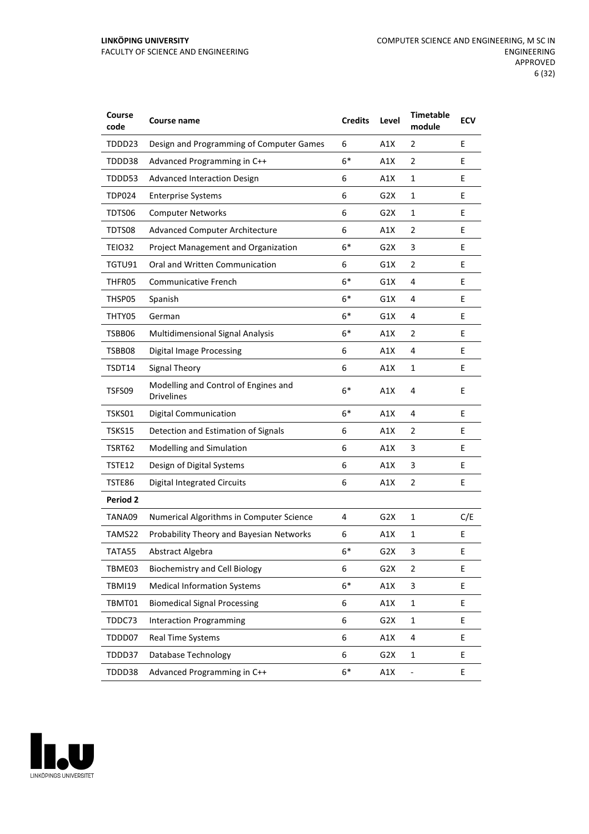#### **LINKÖPING UNIVERSITY** FACULTY OF SCIENCE AND ENGINEERING

| Course<br>code  | Course name                                               | <b>Credits</b> | Level            | <b>Timetable</b><br>module | <b>ECV</b> |
|-----------------|-----------------------------------------------------------|----------------|------------------|----------------------------|------------|
| TDDD23          | Design and Programming of Computer Games                  | 6              | A1X              | 2                          | E          |
| TDDD38          | Advanced Programming in C++                               | $6*$           | A1X              | $\overline{2}$             | Е          |
| TDDD53          | <b>Advanced Interaction Design</b>                        | 6              | A1X              | 1                          | E          |
| <b>TDP024</b>   | <b>Enterprise Systems</b>                                 | 6              | G2X              | 1                          | E          |
| TDTS06          | <b>Computer Networks</b>                                  | 6              | G2X              | 1                          | E          |
| TDTS08          | <b>Advanced Computer Architecture</b>                     | 6              | A1X              | 2                          | E          |
| TEIO32          | Project Management and Organization                       | $6*$           | G2X              | 3                          | Е          |
| TGTU91          | Oral and Written Communication                            | 6              | G1X              | 2                          | E          |
| THFR05          | Communicative French                                      | $6*$           | G1X              | 4                          | E          |
| THSP05          | Spanish                                                   | $6*$           | G1X              | 4                          | E          |
| THTY05          | German                                                    | $6*$           | G1X              | 4                          | E          |
| TSBB06          | Multidimensional Signal Analysis                          | $6*$           | A1X              | 2                          | Е          |
| TSBB08          | <b>Digital Image Processing</b>                           | 6              | A1X              | 4                          | E          |
| TSDT14          | <b>Signal Theory</b>                                      | 6              | A1X              | 1                          | E          |
| TSFS09          | Modelling and Control of Engines and<br><b>Drivelines</b> | $6*$           | A1X              | 4                          | E          |
| TSKS01          | <b>Digital Communication</b>                              | $6*$           | A1X              | 4                          | Е          |
| TSKS15          | Detection and Estimation of Signals                       | 6              | A1X              | 2                          | E          |
| TSRT62          | Modelling and Simulation                                  | 6              | A1X              | 3                          | E          |
| TSTE12          | Design of Digital Systems                                 | 6              | A1X              | 3                          | E          |
| TSTE86          | <b>Digital Integrated Circuits</b>                        | 6              | A1X              | $\overline{2}$             | E          |
| <b>Period 2</b> |                                                           |                |                  |                            |            |
| TANA09          | Numerical Algorithms in Computer Science                  | 4              | G <sub>2</sub> X | 1                          | C/E        |
| TAMS22          | Probability Theory and Bayesian Networks                  | 6              | A1X              | 1                          | E          |
| TATA55          | Abstract Algebra                                          | $6*$           | G2X              | 3                          | Ε          |
| TBME03          | <b>Biochemistry and Cell Biology</b>                      | 6              | G <sub>2</sub> X | $\overline{2}$             | E          |
| <b>TBMI19</b>   | <b>Medical Information Systems</b>                        | $6*$           | A1X              | $\ensuremath{\mathsf{3}}$  | E          |
| TBMT01          | <b>Biomedical Signal Processing</b>                       | 6              | A1X              | $\mathbf{1}$               | E          |
| TDDC73          | <b>Interaction Programming</b>                            | 6              | G <sub>2</sub> X | $\mathbf{1}$               | E          |
| TDDD07          | Real Time Systems                                         | 6              | A1X              | 4                          | E          |
| TDDD37          | Database Technology                                       | 6              | G <sub>2</sub> X | $\mathbf 1$                | E          |
| TDDD38          | Advanced Programming in C++                               | $6*$           | A1X              |                            | E          |

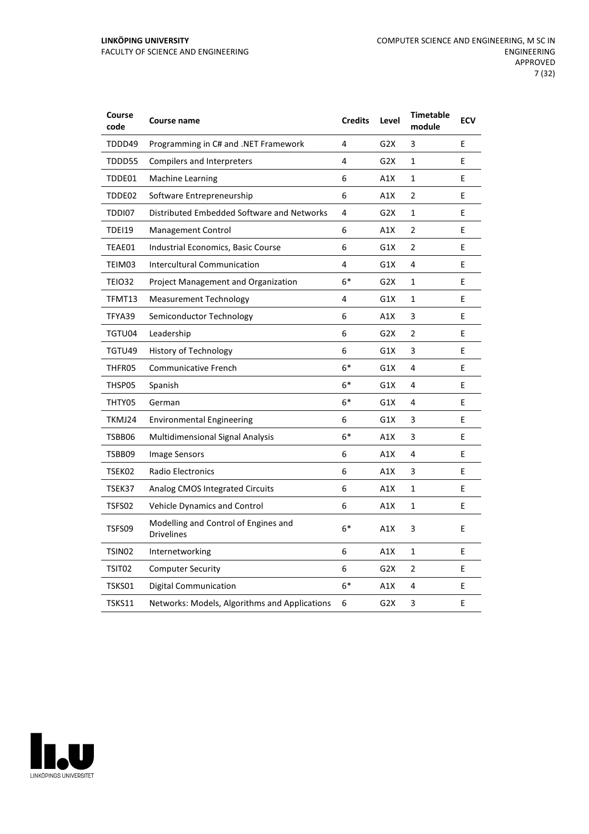| Course<br>code     | Course name                                               | <b>Credits</b> | Level            | <b>Timetable</b><br>module | <b>ECV</b> |
|--------------------|-----------------------------------------------------------|----------------|------------------|----------------------------|------------|
| TDDD49             | Programming in C# and .NET Framework                      | 4              | G <sub>2</sub> X | 3                          | E          |
| TDDD55             | <b>Compilers and Interpreters</b>                         | 4              | G2X              | $\mathbf{1}$               | E          |
| TDDE01             | <b>Machine Learning</b>                                   | 6              | A1X              | $\mathbf{1}$               | E          |
| TDDE02             | Software Entrepreneurship                                 | 6              | A1X              | $\overline{2}$             | E          |
| TDDI07             | Distributed Embedded Software and Networks                | 4              | G <sub>2</sub> X | $\mathbf{1}$               | E          |
| TDEI19             | Management Control                                        | 6              | A1X              | $\overline{2}$             | E          |
| TEAE01             | Industrial Economics, Basic Course                        | 6              | G1X              | $\overline{2}$             | E          |
| TEIM03             | Intercultural Communication                               | 4              | G1X              | 4                          | E          |
| TEIO32             | Project Management and Organization                       | $6*$           | G2X              | 1                          | E          |
| TFMT13             | <b>Measurement Technology</b>                             | 4              | G1X              | 1                          | E          |
| TFYA39             | Semiconductor Technology                                  | 6              | A1X              | 3                          | E          |
| TGTU04             | Leadership                                                | 6              | G2X              | 2                          | E          |
| TGTU49             | History of Technology                                     | 6              | G1X              | 3                          | E          |
| THFR05             | <b>Communicative French</b>                               | $6*$           | G1X              | 4                          | E          |
| THSP05             | Spanish                                                   | $6*$           | G1X              | 4                          | E          |
| THTY05             | German                                                    | 6*             | G1X              | 4                          | E          |
| TKMJ24             | <b>Environmental Engineering</b>                          | 6              | G1X              | 3                          | E          |
| TSBB06             | <b>Multidimensional Signal Analysis</b>                   | $6*$           | A1X              | 3                          | E          |
| TSBB09             | <b>Image Sensors</b>                                      | 6              | A1X              | 4                          | E          |
| TSEK02             | <b>Radio Electronics</b>                                  | 6              | A1X              | 3                          | E          |
| TSEK37             | <b>Analog CMOS Integrated Circuits</b>                    | 6              | A1X              | $\mathbf{1}$               | E          |
| TSFS02             | <b>Vehicle Dynamics and Control</b>                       | 6              | A1X              | 1                          | E          |
| TSFS09             | Modelling and Control of Engines and<br><b>Drivelines</b> | $6*$           | A1X              | 3                          | E          |
| TSIN <sub>02</sub> | Internetworking                                           | 6              | A1X              | $\mathbf{1}$               | E          |
| TSIT02             | <b>Computer Security</b>                                  | 6              | G <sub>2</sub> X | $\overline{2}$             | E          |
| TSKS01             | <b>Digital Communication</b>                              | $6*$           | A1X              | 4                          | E          |
| TSKS11             | Networks: Models, Algorithms and Applications             | 6              | G2X              | 3                          | E          |

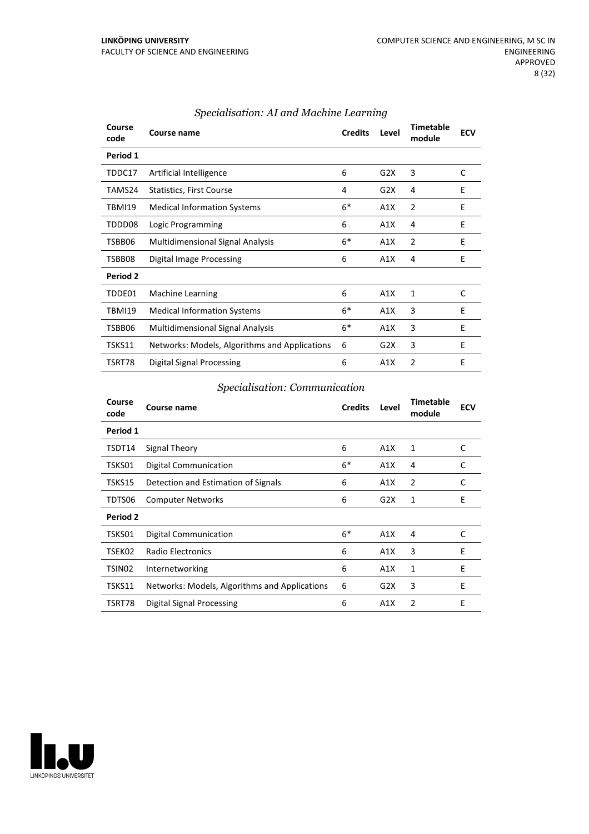| Course<br>code | Course name                                   | <b>Credits</b> | Level            | <b>Timetable</b><br>module | <b>ECV</b> |
|----------------|-----------------------------------------------|----------------|------------------|----------------------------|------------|
| Period 1       |                                               |                |                  |                            |            |
| TDDC17         | Artificial Intelligence                       | 6              | G2X              | 3                          | C          |
| TAMS24         | <b>Statistics, First Course</b>               | 4              | G2X              | 4                          | E          |
| TBMI19         | <b>Medical Information Systems</b>            | $6*$           | A1X              | 2                          | E          |
| TDDD08         | Logic Programming                             | 6              | A1X              | 4                          | E          |
| TSBB06         | <b>Multidimensional Signal Analysis</b>       | $6*$           | A1X              | 2                          | E          |
| TSBB08         | Digital Image Processing                      | 6              | A1X              | 4                          | E          |
| Period 2       |                                               |                |                  |                            |            |
| TDDE01         | <b>Machine Learning</b>                       | 6              | A1X              | 1                          | C          |
| TBMI19         | <b>Medical Information Systems</b>            | $6*$           | A1X              | 3                          | E          |
| TSBB06         | <b>Multidimensional Signal Analysis</b>       | $6*$           | A1X              | 3                          | Е          |
| TSKS11         | Networks: Models, Algorithms and Applications | 6              | G <sub>2</sub> X | 3                          | E          |
| TSRT78         | Digital Signal Processing                     | 6              | A1X              | 2                          | E          |

## *Specialisation: AI and Machine Learning*

#### *Specialisation: Communication*

| Course<br>code     | Course name                                   | <b>Credits</b> | Level | <b>Timetable</b><br>module | <b>ECV</b> |
|--------------------|-----------------------------------------------|----------------|-------|----------------------------|------------|
| Period 1           |                                               |                |       |                            |            |
| TSDT14             | Signal Theory                                 | 6              | A1X   | 1                          | C          |
| TSKS01             | Digital Communication                         | $6*$           | A1X   | 4                          | C          |
| TSKS15             | Detection and Estimation of Signals           | 6              | A1X   | 2                          | C          |
| TDTS06             | <b>Computer Networks</b>                      | 6              | G2X   | 1                          | E          |
| Period 2           |                                               |                |       |                            |            |
| TSKS01             | Digital Communication                         | $6*$           | A1X   | 4                          | C          |
| TSEK02             | <b>Radio Electronics</b>                      | 6              | A1X   | 3                          | E          |
| TSIN <sub>02</sub> | Internetworking                               | 6              | A1X   | 1                          | Ε          |
| TSKS11             | Networks: Models, Algorithms and Applications | 6              | G2X   | 3                          | E          |
| TSRT78             | Digital Signal Processing                     | 6              | A1X   | 2                          | E          |

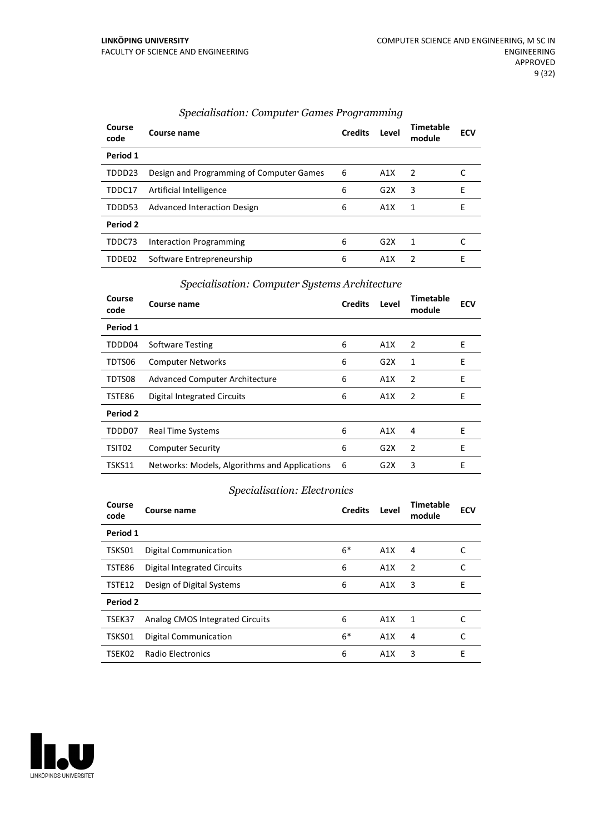| Course<br>code  | Course name                              | <b>Credits</b> | Level            | <b>Timetable</b><br>module | <b>ECV</b> |
|-----------------|------------------------------------------|----------------|------------------|----------------------------|------------|
| Period 1        |                                          |                |                  |                            |            |
| TDDD23          | Design and Programming of Computer Games | 6              | A1X              | 2                          |            |
| TDDC17          | Artificial Intelligence                  | 6              | G2X              | 3                          | E          |
| TDDD53          | Advanced Interaction Design              | 6              | A1X              | 1                          | F          |
| <b>Period 2</b> |                                          |                |                  |                            |            |
| TDDC73          | Interaction Programming                  | 6              | G2X              | 1                          |            |
| TDDE02          | Software Entrepreneurship                | 6              | A <sub>1</sub> X | 2                          | F          |

#### *Specialisation: Computer Games Programming*

#### *Specialisation: Computer Systems Architecture*

| Course<br>code | Course name                                   | <b>Credits</b> | Level | Timetable<br>module | <b>ECV</b> |
|----------------|-----------------------------------------------|----------------|-------|---------------------|------------|
| Period 1       |                                               |                |       |                     |            |
| TDDD04         | <b>Software Testing</b>                       | 6              | A1X   | 2                   | E          |
| TDTS06         | <b>Computer Networks</b>                      | 6              | G2X   | 1                   | E          |
| TDTS08         | <b>Advanced Computer Architecture</b>         | 6              | A1X   | 2                   | E          |
| TSTE86         | Digital Integrated Circuits                   | 6              | A1X   | $\overline{2}$      | E          |
| Period 2       |                                               |                |       |                     |            |
| TDDD07         | Real Time Systems                             | 6              | A1X   | 4                   | E          |
| TSIT02         | <b>Computer Security</b>                      | 6              | G2X   | 2                   | E          |
| TSKS11         | Networks: Models, Algorithms and Applications | -6             | G2X   | 3                   | E          |

## *Specialisation: Electronics*

| Course<br>code | Course name                     | <b>Credits</b> | Level | Timetable<br>module | <b>ECV</b> |
|----------------|---------------------------------|----------------|-------|---------------------|------------|
| Period 1       |                                 |                |       |                     |            |
| TSKS01         | <b>Digital Communication</b>    | $6*$           | A1X   | 4                   |            |
| TSTE86         | Digital Integrated Circuits     | 6              | A1X   | 2                   | C          |
| TSTE12         | Design of Digital Systems       | 6              | A1X   | 3                   | E          |
| Period 2       |                                 |                |       |                     |            |
| TSEK37         | Analog CMOS Integrated Circuits | 6              | A1X   | 1                   | C          |
| TSKS01         | <b>Digital Communication</b>    | $6*$           | A1X   | 4                   | C          |
| TSEK02         | <b>Radio Electronics</b>        | 6              | A1X   | 3                   | E          |

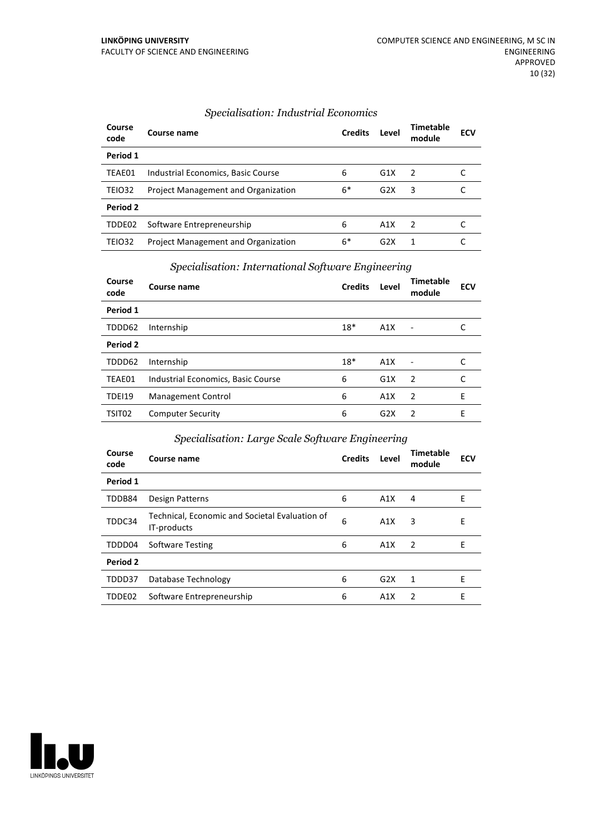| Specialisation: Industrial Economics |  |
|--------------------------------------|--|
|--------------------------------------|--|

| Course<br>code | Course name                                | <b>Credits</b> | Level | Timetable<br>module | <b>ECV</b> |
|----------------|--------------------------------------------|----------------|-------|---------------------|------------|
| Period 1       |                                            |                |       |                     |            |
| TEAE01         | Industrial Economics, Basic Course         | 6              | G1X   | $\overline{2}$      |            |
| TEIO32         | <b>Project Management and Organization</b> | $6*$           | G2X   | 3                   |            |
| Period 2       |                                            |                |       |                     |            |
| TDDE02         | Software Entrepreneurship                  | 6              | A1X   | $\overline{2}$      |            |
| TEIO32         | <b>Project Management and Organization</b> | 6*             | G2X   |                     |            |

# *Specialisation: International Software Engineering*

| Course<br>code     | <b>Course name</b>                 | <b>Credits</b> | Level            | <b>Timetable</b><br>module | <b>ECV</b> |
|--------------------|------------------------------------|----------------|------------------|----------------------------|------------|
| Period 1           |                                    |                |                  |                            |            |
| TDDD62             | Internship                         | $18*$          | A1X              |                            |            |
| Period 2           |                                    |                |                  |                            |            |
| TDDD62             | Internship                         | $18*$          | A1X              |                            |            |
| TEAE01             | Industrial Economics, Basic Course | 6              | G1X              | $\overline{2}$             | C          |
| <b>TDEI19</b>      | Management Control                 | 6              | A1X              | $\overline{2}$             | F          |
| TSIT <sub>02</sub> | <b>Computer Security</b>           | 6              | G <sub>2</sub> X | 2                          | Е          |

#### *Specialisation: Large Scale Software Engineering*

| Course<br>code | Course name                                                   | <b>Credits</b> | Level | Timetable<br>module | <b>ECV</b> |
|----------------|---------------------------------------------------------------|----------------|-------|---------------------|------------|
| Period 1       |                                                               |                |       |                     |            |
| TDDB84         | Design Patterns                                               | 6              | A1X   | 4                   | Е          |
| TDDC34         | Technical, Economic and Societal Evaluation of<br>IT-products | 6              | A1X   | 3                   | Е          |
| TDDD04         | Software Testing                                              | 6              | A1X   | $\overline{2}$      | Е          |
| Period 2       |                                                               |                |       |                     |            |
| TDDD37         | Database Technology                                           | 6              | G2X   | 1                   | Е          |
| TDDE02         | Software Entrepreneurship                                     | 6              | A1X   | $\mathcal{P}$       | E          |

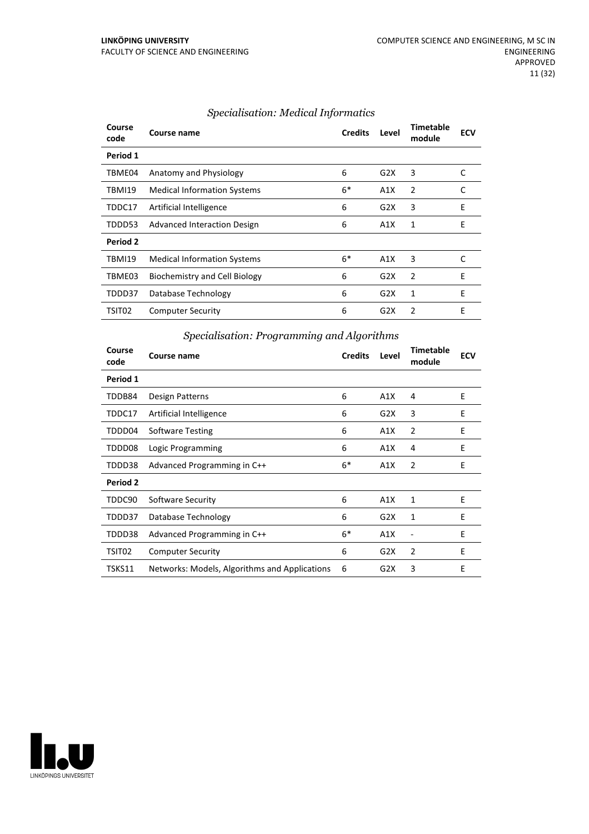| Course<br>code | Course name                          | <b>Credits</b> | Level | <b>Timetable</b><br>module | <b>ECV</b> |
|----------------|--------------------------------------|----------------|-------|----------------------------|------------|
| Period 1       |                                      |                |       |                            |            |
| TBME04         | Anatomy and Physiology               | 6              | G2X   | 3                          | C          |
| <b>TBMI19</b>  | <b>Medical Information Systems</b>   | $6*$           | A1X   | 2                          | C          |
| TDDC17         | Artificial Intelligence              | 6              | G2X   | 3                          | E          |
| TDDD53         | <b>Advanced Interaction Design</b>   | 6              | A1X   | 1                          | E          |
| Period 2       |                                      |                |       |                            |            |
| <b>TBMI19</b>  | <b>Medical Information Systems</b>   | $6*$           | A1X   | 3                          | C          |
| TBME03         | <b>Biochemistry and Cell Biology</b> | 6              | G2X   | 2                          | E          |
| TDDD37         | Database Technology                  | 6              | G2X   | 1                          | E          |
| TSIT02         | <b>Computer Security</b>             | 6              | G2X   | 2                          | Е          |

#### *Specialisation: Medical Informatics*

## *Specialisation: Programming and Algorithms*

| Course<br>code | Course name                                   | <b>Credits</b> | Level | <b>Timetable</b><br>module | <b>ECV</b> |
|----------------|-----------------------------------------------|----------------|-------|----------------------------|------------|
| Period 1       |                                               |                |       |                            |            |
| TDDB84         | Design Patterns                               | 6              | A1X   | 4                          | E          |
| TDDC17         | Artificial Intelligence                       | 6              | G2X   | 3                          | E          |
| TDDD04         | Software Testing                              | 6              | A1X   | 2                          | E          |
| TDDD08         | Logic Programming                             | 6              | A1X   | 4                          | E          |
| TDDD38         | Advanced Programming in C++                   | $6*$           | A1X   | 2                          | E          |
| Period 2       |                                               |                |       |                            |            |
| TDDC90         | Software Security                             | 6              | A1X   | 1                          | E          |
| TDDD37         | Database Technology                           | 6              | G2X   | 1                          | E          |
| TDDD38         | Advanced Programming in C++                   | $6*$           | A1X   |                            | Е          |
| TSIT02         | <b>Computer Security</b>                      | 6              | G2X   | 2                          | Е          |
| TSKS11         | Networks: Models, Algorithms and Applications | 6              | G2X   | 3                          | E          |

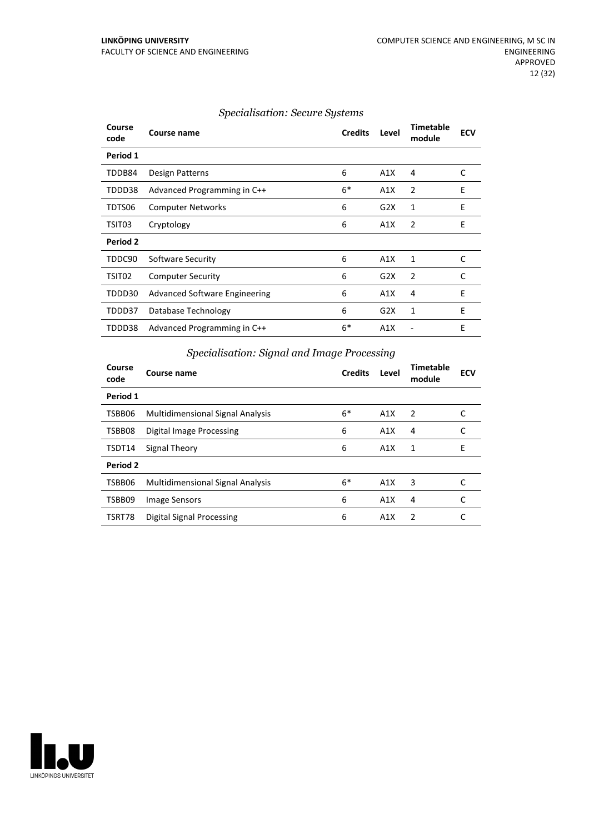| Course<br>code | Course name                          | <b>Credits</b> | Level | <b>Timetable</b><br>module | <b>ECV</b> |
|----------------|--------------------------------------|----------------|-------|----------------------------|------------|
| Period 1       |                                      |                |       |                            |            |
| TDDB84         | Design Patterns                      | 6              | A1X   | 4                          | C          |
| TDDD38         | Advanced Programming in C++          | $6*$           | A1X   | 2                          | E          |
| TDTS06         | <b>Computer Networks</b>             | 6              | G2X   | 1                          | E          |
| TSIT03         | Cryptology                           | 6              | A1X   | 2                          | E          |
| Period 2       |                                      |                |       |                            |            |
| TDDC90         | Software Security                    | 6              | A1X   | 1                          | C          |
| TSIT02         | <b>Computer Security</b>             | 6              | G2X   | 2                          | C          |
| TDDD30         | <b>Advanced Software Engineering</b> | 6              | A1X   | 4                          | E          |
| TDDD37         | Database Technology                  | 6              | G2X   | 1                          | E          |
| TDDD38         | Advanced Programming in C++          | $6*$           | A1X   |                            | E          |
|                |                                      |                |       |                            |            |

#### *Specialisation: Secure Systems*

## *Specialisation: Signal and Image Processing*

| Course<br>code | Course name                             | <b>Credits</b> | Level | <b>Timetable</b><br>module | <b>ECV</b> |
|----------------|-----------------------------------------|----------------|-------|----------------------------|------------|
| Period 1       |                                         |                |       |                            |            |
| TSBB06         | <b>Multidimensional Signal Analysis</b> | $6*$           | A1X   | $\overline{2}$             | C          |
| TSBB08         | Digital Image Processing                | 6              | A1X   | 4                          | C          |
| TSDT14         | Signal Theory                           | 6              | A1X   | 1                          | E          |
| Period 2       |                                         |                |       |                            |            |
| TSBB06         | <b>Multidimensional Signal Analysis</b> | $6*$           | A1X   | 3                          | C          |
| TSBB09         | Image Sensors                           | 6              | A1X   | 4                          | C          |
| TSRT78         | Digital Signal Processing               | 6              | A1X   | 2                          |            |

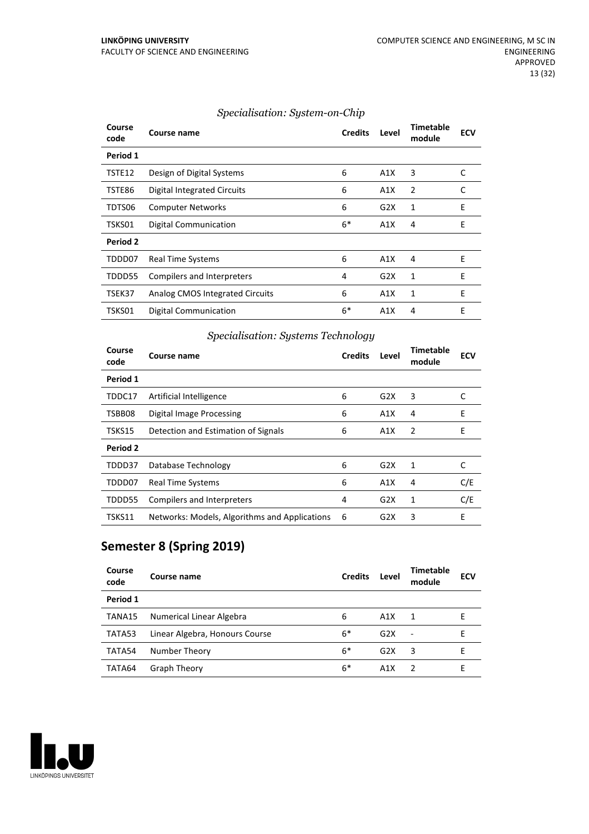| Course<br>code | Course name                     | <b>Credits</b> | Level | <b>Timetable</b><br>module | <b>ECV</b> |
|----------------|---------------------------------|----------------|-------|----------------------------|------------|
| Period 1       |                                 |                |       |                            |            |
| TSTE12         | Design of Digital Systems       | 6              | A1X   | 3                          | C          |
| TSTE86         | Digital Integrated Circuits     | 6              | A1X   | 2                          | C          |
| TDTS06         | <b>Computer Networks</b>        | 6              | G2X   | 1                          | E          |
| TSKS01         | <b>Digital Communication</b>    | $6*$           | A1X   | 4                          | E          |
| Period 2       |                                 |                |       |                            |            |
| TDDD07         | <b>Real Time Systems</b>        | 6              | A1X   | 4                          | E          |
| TDDD55         | Compilers and Interpreters      | 4              | G2X   | $\mathbf{1}$               | E          |
| TSEK37         | Analog CMOS Integrated Circuits | 6              | A1X   | 1                          | E          |
| TSKS01         | <b>Digital Communication</b>    | $6*$           | A1X   | 4                          | E          |

#### *Specialisation: System-on-Chip*

## *Specialisation: Systems Technology*

| Course<br>code | Course name                                   | <b>Credits</b> | Level | <b>Timetable</b><br>module | <b>ECV</b> |
|----------------|-----------------------------------------------|----------------|-------|----------------------------|------------|
| Period 1       |                                               |                |       |                            |            |
| TDDC17         | Artificial Intelligence                       | 6              | G2X   | 3                          |            |
| TSBB08         | Digital Image Processing                      | 6              | A1X   | 4                          | E          |
| TSKS15         | Detection and Estimation of Signals           | 6              | A1X   | 2                          | E          |
| Period 2       |                                               |                |       |                            |            |
| TDDD37         | Database Technology                           | 6              | G2X   | 1                          | C          |
| TDDD07         | Real Time Systems                             | 6              | A1X   | 4                          | C/E        |
| TDDD55         | Compilers and Interpreters                    | 4              | G2X   | 1                          | C/E        |
| TSKS11         | Networks: Models, Algorithms and Applications | 6              | G2X   | 3                          | E          |

# **Semester 8 (Spring 2019)**

| Course<br>code | Course name                    | <b>Credits</b> | Level            | Timetable<br>module      | <b>ECV</b> |
|----------------|--------------------------------|----------------|------------------|--------------------------|------------|
| Period 1       |                                |                |                  |                          |            |
| TANA15         | Numerical Linear Algebra       | 6              | A1X              | 1                        | F          |
| TATA53         | Linear Algebra, Honours Course | $6*$           | G2X              | $\overline{\phantom{a}}$ |            |
| TATA54         | Number Theory                  | $6*$           | G <sub>2</sub> X | 3                        | F          |
| TATA64         | <b>Graph Theory</b>            | $6*$           | A <sub>1</sub> X | $\overline{z}$           | F          |

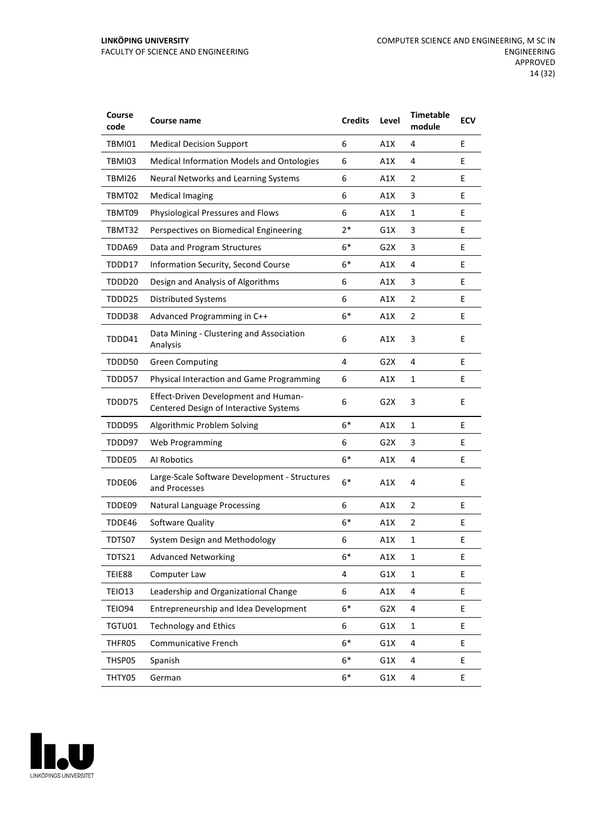| Course<br>code | Course name                                                                    | <b>Credits</b> | Level            | <b>Timetable</b><br>module | <b>ECV</b> |
|----------------|--------------------------------------------------------------------------------|----------------|------------------|----------------------------|------------|
| TBMI01         | <b>Medical Decision Support</b>                                                | 6              | A1X              | 4                          | E          |
| TBMI03         | Medical Information Models and Ontologies                                      | 6              | A1X              | 4                          | E          |
| TBMI26         | Neural Networks and Learning Systems                                           | 6              | A1X              | 2                          | E          |
| TBMT02         | <b>Medical Imaging</b>                                                         | 6              | A1X              | 3                          | E          |
| TBMT09         | Physiological Pressures and Flows                                              | 6              | A1X              | 1                          | E          |
| TBMT32         | Perspectives on Biomedical Engineering                                         | $2*$           | G1X              | 3                          | E          |
| TDDA69         | Data and Program Structures                                                    | $6*$           | G2X              | 3                          | E          |
| TDDD17         | Information Security, Second Course                                            | $6*$           | A1X              | 4                          | E          |
| TDDD20         | Design and Analysis of Algorithms                                              | 6              | A1X              | 3                          | E          |
| TDDD25         | <b>Distributed Systems</b>                                                     | 6              | A1X              | $\overline{2}$             | E          |
| TDDD38         | Advanced Programming in C++                                                    | $6*$           | A1X              | $\overline{2}$             | E          |
| TDDD41         | Data Mining - Clustering and Association<br>Analysis                           | 6              | A1X              | 3                          | E          |
| TDDD50         | <b>Green Computing</b>                                                         | 4              | G <sub>2</sub> X | 4                          | E          |
| TDDD57         | Physical Interaction and Game Programming                                      | 6              | A1X              | 1                          | E          |
| TDDD75         | Effect-Driven Development and Human-<br>Centered Design of Interactive Systems | 6              | G2X              | 3                          | E          |
| TDDD95         | Algorithmic Problem Solving                                                    | $6*$           | A1X              | 1                          | E          |
| TDDD97         | <b>Web Programming</b>                                                         | 6              | G2X              | 3                          | E          |
| TDDE05         | Al Robotics                                                                    | $6*$           | A1X              | 4                          | E          |
| TDDE06         | Large-Scale Software Development - Structures<br>and Processes                 | $6*$           | A1X              | 4                          | E          |
| TDDE09         | <b>Natural Language Processing</b>                                             | 6              | A1X              | 2                          | E          |
| TDDE46         | Software Quality                                                               | $6*$           | A1X              | 2                          | E          |
| TDTS07         | System Design and Methodology                                                  | 6              | A1X              | 1                          | E          |
| TDTS21         | <b>Advanced Networking</b>                                                     | 6*             | A1X              | 1                          | E          |
| TEIE88         | Computer Law                                                                   | 4              | G1X              | $\mathbf{1}$               | E.         |
| <b>TEIO13</b>  | Leadership and Organizational Change                                           | 6              | A1X              | 4                          | E.         |
| <b>TEIO94</b>  | Entrepreneurship and Idea Development                                          | $6*$           | G <sub>2</sub> X | 4                          | E.         |
| TGTU01         | <b>Technology and Ethics</b>                                                   | 6              | G1X              | $\mathbf{1}$               | E          |
| THFR05         | Communicative French                                                           | $6*$           | G1X              | 4                          | E          |
| THSP05         | Spanish                                                                        | $6*$           | G1X              | 4                          | E          |
| THTY05         | German                                                                         | 6*             | G1X              | 4                          | E          |

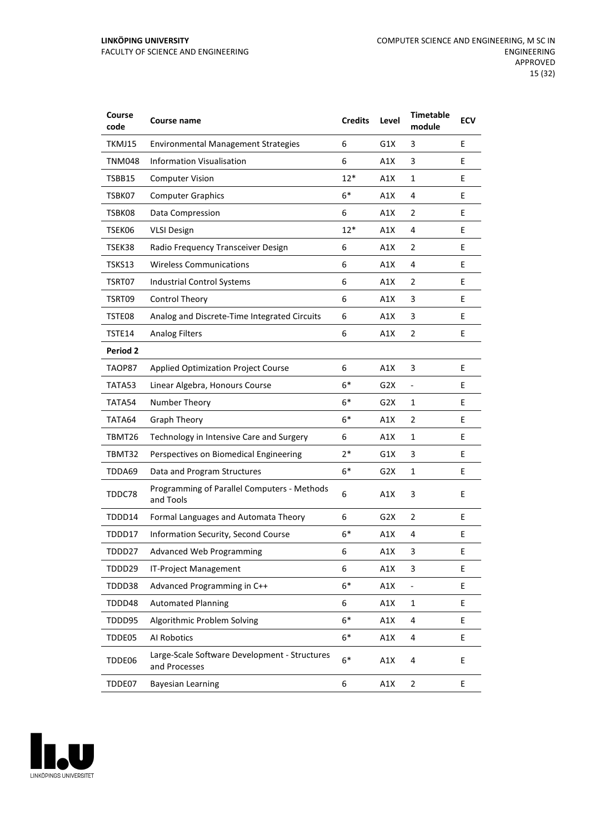| Course<br>code  | Course name                                                    | <b>Credits</b> | Level            | <b>Timetable</b><br>module   | <b>ECV</b> |
|-----------------|----------------------------------------------------------------|----------------|------------------|------------------------------|------------|
| TKMJ15          | <b>Environmental Management Strategies</b>                     | 6              | G1X              | 3                            | E          |
| <b>TNM048</b>   | <b>Information Visualisation</b>                               | 6              | A1X              | 3                            | E          |
| TSBB15          | <b>Computer Vision</b>                                         | $12*$          | A1X              | 1                            | E          |
| TSBK07          | <b>Computer Graphics</b>                                       | $6*$           | A1X              | 4                            | E          |
| TSBK08          | Data Compression                                               | 6              | A1X              | 2                            | E          |
| TSEK06          | <b>VLSI Design</b>                                             | $12*$          | A1X              | 4                            | E          |
| TSEK38          | Radio Frequency Transceiver Design                             | 6              | A1X              | 2                            | E          |
| TSKS13          | <b>Wireless Communications</b>                                 | 6              | A1X              | 4                            | E          |
| TSRT07          | Industrial Control Systems                                     | 6              | A1X              | $\overline{2}$               | E          |
| TSRT09          | Control Theory                                                 | 6              | A1X              | 3                            | E          |
| TSTE08          | Analog and Discrete-Time Integrated Circuits                   | 6              | A1X              | 3                            | E          |
| TSTE14          | <b>Analog Filters</b>                                          | 6              | A1X              | $\overline{2}$               | Е          |
| <b>Period 2</b> |                                                                |                |                  |                              |            |
| TAOP87          | <b>Applied Optimization Project Course</b>                     | 6              | A1X              | 3                            | E          |
| TATA53          | Linear Algebra, Honours Course                                 | $6*$           | G2X              | $\qquad \qquad \blacksquare$ | E          |
| TATA54          | Number Theory                                                  | $6*$           | G2X              | 1                            | E          |
| TATA64          | <b>Graph Theory</b>                                            | $6*$           | A1X              | 2                            | E          |
| TBMT26          | Technology in Intensive Care and Surgery                       | 6              | A1X              | 1                            | E          |
| TBMT32          | Perspectives on Biomedical Engineering                         | $2*$           | G1X              | 3                            | E          |
| TDDA69          | Data and Program Structures                                    | $6*$           | G2X              | $\mathbf{1}$                 | E          |
| TDDC78          | Programming of Parallel Computers - Methods<br>and Tools       | 6              | A1X              | 3                            | E          |
| TDDD14          | Formal Languages and Automata Theory                           | 6              | G <sub>2</sub> X | $\overline{2}$               | E          |
| TDDD17          | Information Security, Second Course                            | $6*$           | A1X              | 4                            | E          |
| TDDD27          | Advanced Web Programming                                       | 6              | A1X              | 3                            | Ε          |
| TDDD29          | <b>IT-Project Management</b>                                   | 6              | A1X              | 3                            | E          |
| TDDD38          | Advanced Programming in C++                                    | $6*$           | A1X              | $\overline{\phantom{0}}$     | E          |
| TDDD48          | <b>Automated Planning</b>                                      | 6              | A1X              | $\mathbf{1}$                 | E          |
| TDDD95          | Algorithmic Problem Solving                                    | $6*$           | A1X              | 4                            | E          |
| TDDE05          | Al Robotics                                                    | $6*$           | A1X              | 4                            | E          |
| TDDE06          | Large-Scale Software Development - Structures<br>and Processes | $6*$           | A1X              | 4                            | E          |
| TDDE07          | <b>Bayesian Learning</b>                                       | 6              | A1X              | $\overline{2}$               | E          |

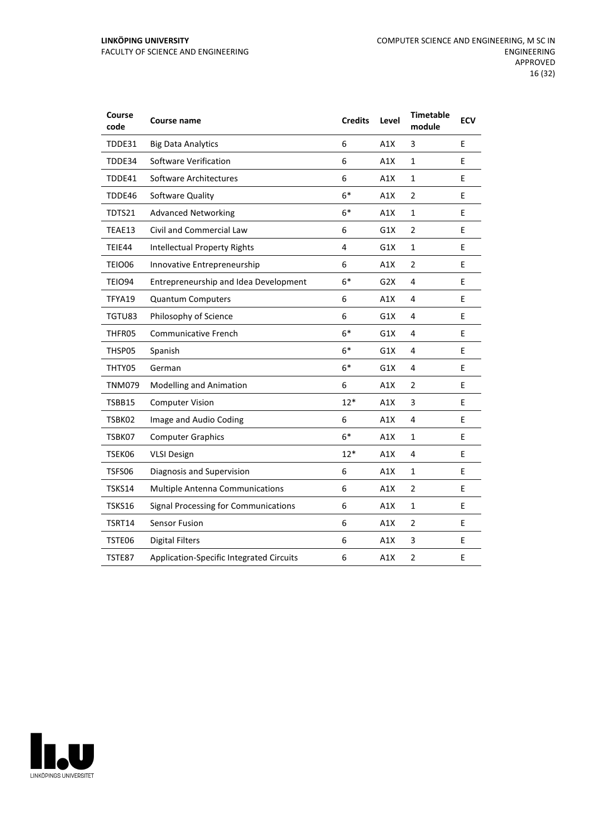#### **LINKÖPING UNIVERSITY** FACULTY OF SCIENCE AND ENGINEERING

| Course<br>code | <b>Course name</b>                          | <b>Credits</b> | Level | <b>Timetable</b><br>module | <b>ECV</b> |
|----------------|---------------------------------------------|----------------|-------|----------------------------|------------|
| TDDE31         | <b>Big Data Analytics</b>                   | 6              | A1X   | 3                          | E          |
| TDDE34         | <b>Software Verification</b>                | 6              | A1X   | $\mathbf 1$                | E          |
| TDDE41         | Software Architectures                      | 6              | A1X   | $\mathbf 1$                | E          |
| TDDE46         | Software Quality                            | $6*$           | A1X   | $\overline{2}$             | E          |
| TDTS21         | <b>Advanced Networking</b>                  | $6*$           | A1X   | $\mathbf 1$                | E          |
| TEAE13         | Civil and Commercial Law                    | 6              | G1X   | $\overline{2}$             | E          |
| TEIE44         | <b>Intellectual Property Rights</b>         | 4              | G1X   | $\mathbf 1$                | E          |
| TEIO06         | Innovative Entrepreneurship                 | 6              | A1X   | $\overline{2}$             | E          |
| TEIO94         | Entrepreneurship and Idea Development       | $6*$           | G2X   | 4                          | E          |
| TFYA19         | <b>Quantum Computers</b>                    | 6              | A1X   | 4                          | E          |
| TGTU83         | Philosophy of Science                       | 6              | G1X   | 4                          | E          |
| THFR05         | <b>Communicative French</b>                 | $6*$           | G1X   | 4                          | E          |
| THSP05         | Spanish                                     | $6*$           | G1X   | 4                          | E          |
| THTY05         | German                                      | $6*$           | G1X   | 4                          | E          |
| <b>TNM079</b>  | <b>Modelling and Animation</b>              | 6              | A1X   | $\overline{2}$             | E          |
| TSBB15         | <b>Computer Vision</b>                      | $12*$          | A1X   | 3                          | E          |
| TSBK02         | Image and Audio Coding                      | 6              | A1X   | 4                          | E          |
| TSBK07         | <b>Computer Graphics</b>                    | $6*$           | A1X   | 1                          | E          |
| TSEK06         | <b>VLSI Design</b>                          | $12*$          | A1X   | 4                          | E          |
| TSFS06         | Diagnosis and Supervision                   | 6              | A1X   | $\mathbf 1$                | E          |
| TSKS14         | <b>Multiple Antenna Communications</b>      | 6              | A1X   | $\overline{2}$             | E          |
| <b>TSKS16</b>  | <b>Signal Processing for Communications</b> | 6              | A1X   | $\mathbf{1}$               | E          |
| TSRT14         | <b>Sensor Fusion</b>                        | 6              | A1X   | $\overline{2}$             | E          |
| TSTE06         | <b>Digital Filters</b>                      | 6              | A1X   | 3                          | E          |
| TSTE87         | Application-Specific Integrated Circuits    | 6              | A1X   | $\overline{2}$             | E          |

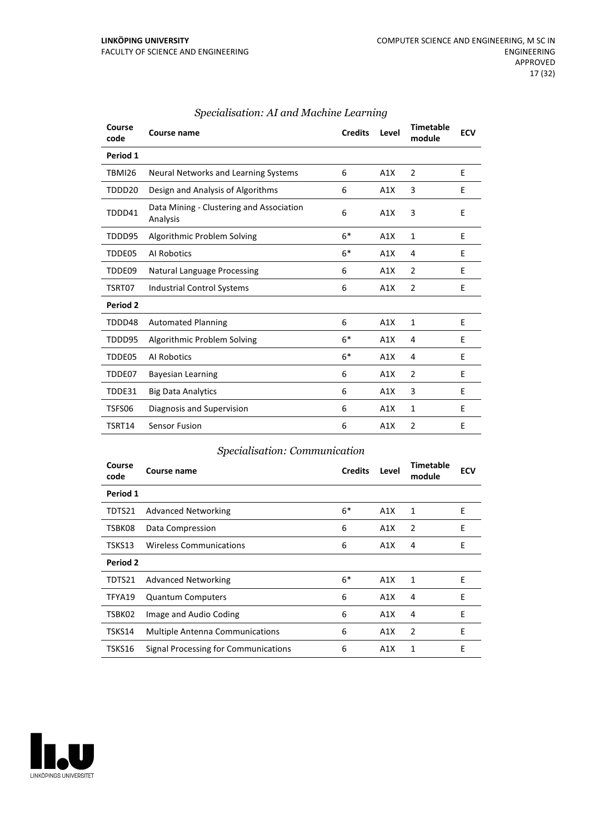| Course<br>code | Course name                                          | <b>Credits</b> | Level | <b>Timetable</b><br>module | <b>ECV</b> |
|----------------|------------------------------------------------------|----------------|-------|----------------------------|------------|
| Period 1       |                                                      |                |       |                            |            |
| <b>TBMI26</b>  | Neural Networks and Learning Systems                 | 6              | A1X   | 2                          | E          |
| TDDD20         | Design and Analysis of Algorithms                    | 6              | A1X   | 3                          | E          |
| TDDD41         | Data Mining - Clustering and Association<br>Analysis | 6              | A1X   | 3                          | E          |
| TDDD95         | Algorithmic Problem Solving                          | $6*$           | A1X   | 1                          | E          |
| TDDE05         | Al Robotics                                          | $6*$           | A1X   | 4                          | E          |
| TDDE09         | <b>Natural Language Processing</b>                   | 6              | A1X   | 2                          | E          |
| TSRT07         | <b>Industrial Control Systems</b>                    | 6              | A1X   | $\overline{2}$             | E          |
| Period 2       |                                                      |                |       |                            |            |
| TDDD48         | <b>Automated Planning</b>                            | 6              | A1X   | 1                          | E          |
| TDDD95         | Algorithmic Problem Solving                          | $6*$           | A1X   | 4                          | E          |
| TDDE05         | Al Robotics                                          | $6*$           | A1X   | 4                          | E          |
| TDDE07         | <b>Bayesian Learning</b>                             | 6              | A1X   | 2                          | E          |
| TDDE31         | <b>Big Data Analytics</b>                            | 6              | A1X   | 3                          | E          |
| TSFS06         | Diagnosis and Supervision                            | 6              | A1X   | $\mathbf{1}$               | E          |
| TSRT14         | <b>Sensor Fusion</b>                                 | 6              | A1X   | $\overline{2}$             | E          |

## *Specialisation: AI and Machine Learning*

#### *Specialisation: Communication*

| Course<br>code | Course name                            | <b>Credits</b> | Level | <b>Timetable</b><br>module | <b>ECV</b> |
|----------------|----------------------------------------|----------------|-------|----------------------------|------------|
| Period 1       |                                        |                |       |                            |            |
| TDTS21         | <b>Advanced Networking</b>             | $6*$           | A1X   | 1                          | E          |
| TSBK08         | Data Compression                       | 6              | A1X   | $\overline{2}$             | E          |
| TSKS13         | <b>Wireless Communications</b>         | 6              | A1X   | 4                          | E          |
| Period 2       |                                        |                |       |                            |            |
| TDTS21         | <b>Advanced Networking</b>             | $6*$           | A1X   | 1                          | E          |
| TFYA19         | <b>Quantum Computers</b>               | 6              | A1X   | 4                          | E          |
| TSBK02         | Image and Audio Coding                 | 6              | A1X   | 4                          | E          |
| TSKS14         | <b>Multiple Antenna Communications</b> | 6              | A1X   | 2                          | E          |
| TSKS16         | Signal Processing for Communications   | 6              | A1X   | 1                          | E          |

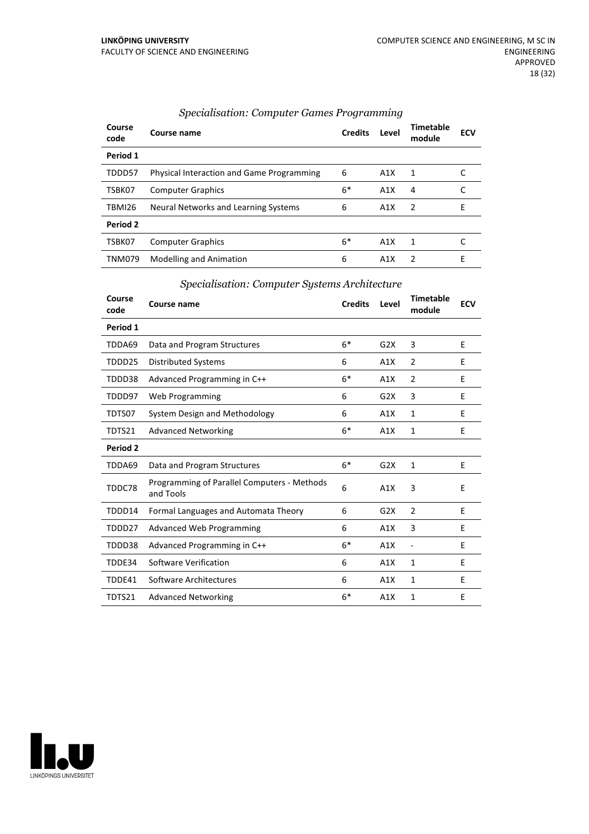| Course<br>code | Course name                                      | <b>Credits</b> | Level | Timetable<br>module | <b>ECV</b> |
|----------------|--------------------------------------------------|----------------|-------|---------------------|------------|
| Period 1       |                                                  |                |       |                     |            |
| TDDD57         | <b>Physical Interaction and Game Programming</b> | 6              | A1X   | 1                   |            |
| TSBK07         | <b>Computer Graphics</b>                         | $6*$           | A1X   | 4                   |            |
| TBMI26         | Neural Networks and Learning Systems             | 6              | A1X   | $\overline{z}$      | E          |
| Period 2       |                                                  |                |       |                     |            |
| TSBK07         | <b>Computer Graphics</b>                         | 6*             | A1X   | 1                   |            |
| <b>TNM079</b>  | <b>Modelling and Animation</b>                   | 6              | A1X   | $\mathcal{L}$       | F          |

#### *Specialisation: Computer Games Programming*

## *Specialisation: Computer Systems Architecture*

| Course<br>code | Course name                                              | <b>Credits</b> | Level | <b>Timetable</b><br>module | <b>ECV</b> |
|----------------|----------------------------------------------------------|----------------|-------|----------------------------|------------|
| Period 1       |                                                          |                |       |                            |            |
| TDDA69         | Data and Program Structures                              | $6*$           | G2X   | 3                          | E          |
| TDDD25         | <b>Distributed Systems</b>                               | 6              | A1X   | $\overline{2}$             | E          |
| TDDD38         | Advanced Programming in C++                              | $6*$           | A1X   | 2                          | E          |
| TDDD97         | Web Programming                                          | 6              | G2X   | 3                          | E          |
| TDTS07         | System Design and Methodology                            | 6              | A1X   | 1                          | F          |
| TDTS21         | <b>Advanced Networking</b>                               | $6*$           | A1X   | 1                          | E          |
| Period 2       |                                                          |                |       |                            |            |
| TDDA69         | Data and Program Structures                              | $6*$           | G2X   | $\mathbf{1}$               | E          |
| TDDC78         | Programming of Parallel Computers - Methods<br>and Tools | 6              | A1X   | 3                          | E          |
| TDDD14         | Formal Languages and Automata Theory                     | 6              | G2X   | 2                          | E          |
| TDDD27         | <b>Advanced Web Programming</b>                          | 6              | A1X   | 3                          | E          |
| TDDD38         | Advanced Programming in C++                              | $6*$           | A1X   | $\overline{a}$             | E          |
| TDDE34         | Software Verification                                    | 6              | A1X   | 1                          | E          |
| TDDE41         | Software Architectures                                   | 6              | A1X   | 1                          | F          |
| TDTS21         | <b>Advanced Networking</b>                               | $6*$           | A1X   | 1                          | E          |

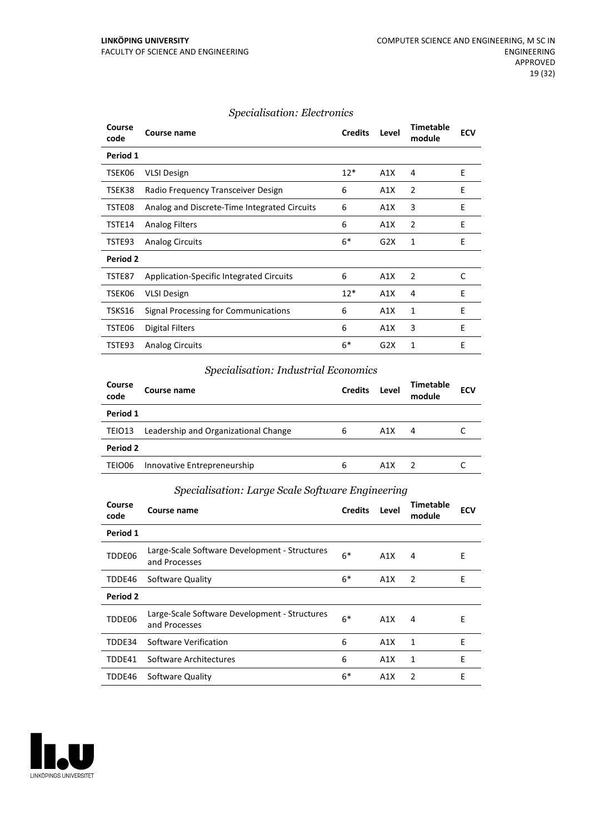#### *Specialisation: Electronics*

| Course<br>code | <b>Course name</b>                           | <b>Credits</b> | Level | <b>Timetable</b><br>module | <b>ECV</b> |
|----------------|----------------------------------------------|----------------|-------|----------------------------|------------|
| Period 1       |                                              |                |       |                            |            |
| TSEK06         | <b>VLSI Design</b>                           | $12*$          | A1X   | 4                          | E          |
| TSEK38         | Radio Frequency Transceiver Design           | 6              | A1X   | $\overline{2}$             | E          |
| TSTE08         | Analog and Discrete-Time Integrated Circuits | 6              | A1X   | 3                          | Е          |
| TSTE14         | <b>Analog Filters</b>                        | 6              | A1X   | $\overline{2}$             | E          |
| TSTE93         | <b>Analog Circuits</b>                       | $6*$           | G2X   | 1                          | E          |
| Period 2       |                                              |                |       |                            |            |
| TSTE87         | Application-Specific Integrated Circuits     | 6              | A1X   | $\overline{2}$             | C          |
| TSEK06         | <b>VLSI Design</b>                           | $12*$          | A1X   | 4                          | E          |
| TSKS16         | Signal Processing for Communications         | 6              | A1X   | 1                          | E          |
| TSTE06         | <b>Digital Filters</b>                       | 6              | A1X   | 3                          | Е          |
| TSTE93         | <b>Analog Circuits</b>                       | $6*$           | G2X   | 1                          | E          |

## *Specialisation: Industrial Economics*

| Course<br>code | Course name                          | <b>Credits</b> | Level | Timetable<br>module | <b>ECV</b> |  |  |  |
|----------------|--------------------------------------|----------------|-------|---------------------|------------|--|--|--|
| Period 1       |                                      |                |       |                     |            |  |  |  |
| TEIO13         | Leadership and Organizational Change | 6              | A1X   | 4                   |            |  |  |  |
|                | Period 2                             |                |       |                     |            |  |  |  |
| TEIO06         | Innovative Entrepreneurship          | 6              | A1X   |                     |            |  |  |  |

## *Specialisation: Large Scale Software Engineering*

| Course<br>code  | Course name                                                    | <b>Credits</b> | Level | <b>Timetable</b><br>module | <b>ECV</b> |
|-----------------|----------------------------------------------------------------|----------------|-------|----------------------------|------------|
| Period 1        |                                                                |                |       |                            |            |
| TDDE06          | Large-Scale Software Development - Structures<br>and Processes | $6*$           | A1X   | 4                          | E          |
| TDDE46          | Software Quality                                               | $6*$           | A1X   | 2                          | E          |
| <b>Period 2</b> |                                                                |                |       |                            |            |
| TDDE06          | Large-Scale Software Development - Structures<br>and Processes | $6*$           | A1X   | 4                          | E          |
| TDDE34          | Software Verification                                          | 6              | A1X   | 1                          | E          |
| TDDE41          | Software Architectures                                         | 6              | A1X   | 1                          | E          |
| TDDE46          | Software Quality                                               | $6*$           | A1X   | 2                          | E          |

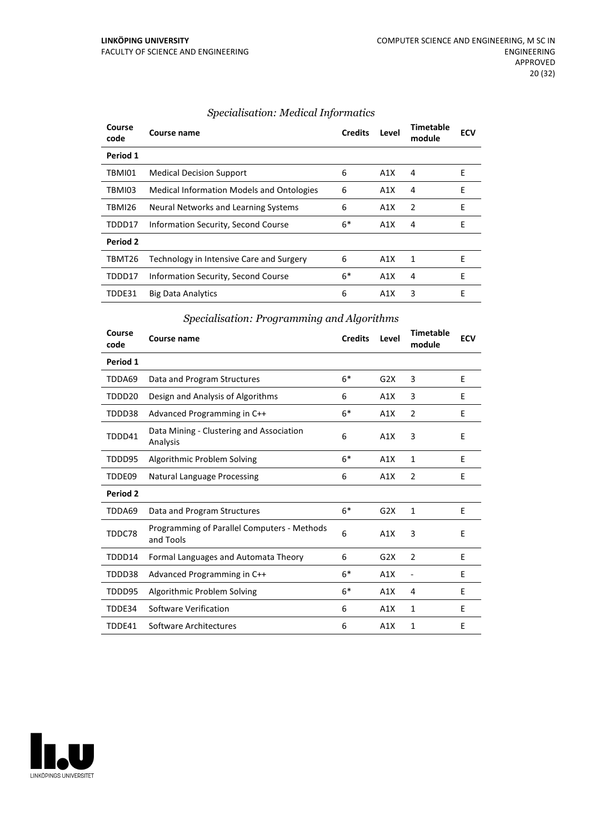| Course<br>code | Course name                                      | <b>Credits</b> | Level | Timetable<br>module | <b>ECV</b> |
|----------------|--------------------------------------------------|----------------|-------|---------------------|------------|
| Period 1       |                                                  |                |       |                     |            |
| TBMI01         | <b>Medical Decision Support</b>                  | 6              | A1X   | 4                   | Е          |
| TBMI03         | <b>Medical Information Models and Ontologies</b> | 6              | A1X   | 4                   | E          |
| TBMI26         | Neural Networks and Learning Systems             | 6              | A1X   | 2                   | E          |
| TDDD17         | Information Security, Second Course              | 6*             | A1X   | 4                   | F          |
| Period 2       |                                                  |                |       |                     |            |
| TBMT26         | Technology in Intensive Care and Surgery         | 6              | A1X   | 1                   | F          |
| TDDD17         | Information Security, Second Course              | $6*$           | A1X   | 4                   | F          |
| TDDE31         | <b>Big Data Analytics</b>                        | 6              | A1X   | 3                   | E          |

## *Specialisation: Medical Informatics*

## *Specialisation: Programming and Algorithms*

| Course<br>code | <b>Course name</b>                                       | <b>Credits</b> | Level | <b>Timetable</b><br>module | <b>ECV</b> |
|----------------|----------------------------------------------------------|----------------|-------|----------------------------|------------|
| Period 1       |                                                          |                |       |                            |            |
| TDDA69         | Data and Program Structures                              | $6*$           | G2X   | 3                          | E          |
| TDDD20         | Design and Analysis of Algorithms                        | 6              | A1X   | 3                          | E          |
| TDDD38         | Advanced Programming in C++                              | $6*$           | A1X   | $\overline{2}$             | F          |
| TDDD41         | Data Mining - Clustering and Association<br>Analysis     | 6              | A1X   | 3                          | E          |
| TDDD95         | Algorithmic Problem Solving                              | $6*$           | A1X   | $\mathbf{1}$               | E          |
| TDDE09         | <b>Natural Language Processing</b>                       | 6              | A1X   | $\overline{2}$             | E          |
| Period 2       |                                                          |                |       |                            |            |
| TDDA69         | Data and Program Structures                              | $6*$           | G2X   | $\mathbf{1}$               | E          |
| TDDC78         | Programming of Parallel Computers - Methods<br>and Tools | 6              | A1X   | 3                          | E          |
| TDDD14         | Formal Languages and Automata Theory                     | 6              | G2X   | $\overline{2}$             | F          |
| TDDD38         | Advanced Programming in C++                              | $6*$           | A1X   |                            | E          |
| TDDD95         | Algorithmic Problem Solving                              | $6*$           | A1X   | 4                          | E          |
| TDDE34         | Software Verification                                    | 6              | A1X   | 1                          | E          |
| TDDE41         | Software Architectures                                   | 6              | A1X   | $\mathbf{1}$               | E          |

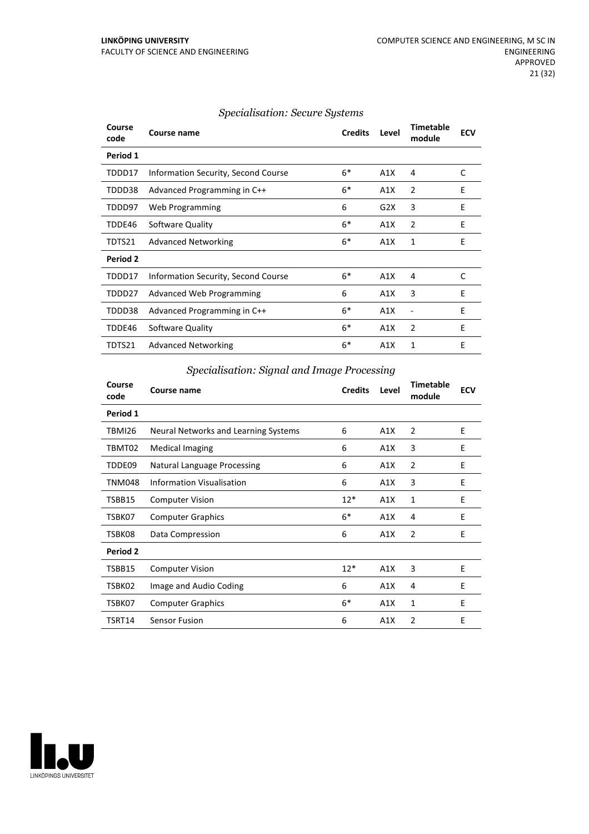| Course<br>code | Course name                                | <b>Credits</b> | Level | <b>Timetable</b><br>module | <b>ECV</b> |
|----------------|--------------------------------------------|----------------|-------|----------------------------|------------|
| Period 1       |                                            |                |       |                            |            |
| TDDD17         | Information Security, Second Course        | $6*$           | A1X   | 4                          | C          |
| TDDD38         | Advanced Programming in C++                | $6*$           | A1X   | 2                          | E          |
| TDDD97         | Web Programming                            | 6              | G2X   | 3                          | E          |
| TDDE46         | Software Quality                           | $6*$           | A1X   | $\overline{2}$             | E          |
| TDTS21         | <b>Advanced Networking</b>                 | $6*$           | A1X   | 1                          | E          |
| Period 2       |                                            |                |       |                            |            |
| TDDD17         | <b>Information Security, Second Course</b> | $6*$           | A1X   | 4                          | C          |
| TDDD27         | Advanced Web Programming                   | 6              | A1X   | 3                          | E          |
| TDDD38         | Advanced Programming in C++                | $6*$           | A1X   |                            | E          |
| TDDE46         | Software Quality                           | $6*$           | A1X   | 2                          | E          |
| TDTS21         | <b>Advanced Networking</b>                 | $6*$           | A1X   | 1                          | E          |

## *Specialisation: Secure Systems*

*Specialisation: Signal and Image Processing*

| Course<br>code | <b>Course name</b>                   | <b>Credits</b> | Level | <b>Timetable</b><br>module | <b>ECV</b> |
|----------------|--------------------------------------|----------------|-------|----------------------------|------------|
| Period 1       |                                      |                |       |                            |            |
| TBMI26         | Neural Networks and Learning Systems | 6              | A1X   | 2                          | E          |
| TBMT02         | <b>Medical Imaging</b>               | 6              | A1X   | 3                          | E          |
| TDDE09         | Natural Language Processing          | 6              | A1X   | $\overline{2}$             | E          |
| <b>TNM048</b>  | Information Visualisation            | 6              | A1X   | 3                          | E          |
| TSBB15         | <b>Computer Vision</b>               | $12*$          | A1X   | 1                          | E          |
| TSBK07         | <b>Computer Graphics</b>             | $6*$           | A1X   | 4                          | E          |
| TSBK08         | Data Compression                     | 6              | A1X   | 2                          | E          |
| Period 2       |                                      |                |       |                            |            |
| TSBB15         | <b>Computer Vision</b>               | $12*$          | A1X   | 3                          | E          |
| TSBK02         | Image and Audio Coding               | 6              | A1X   | 4                          | E          |
| TSBK07         | <b>Computer Graphics</b>             | $6*$           | A1X   | 1                          | E          |
| TSRT14         | <b>Sensor Fusion</b>                 | 6              | A1X   | $\overline{2}$             | E          |

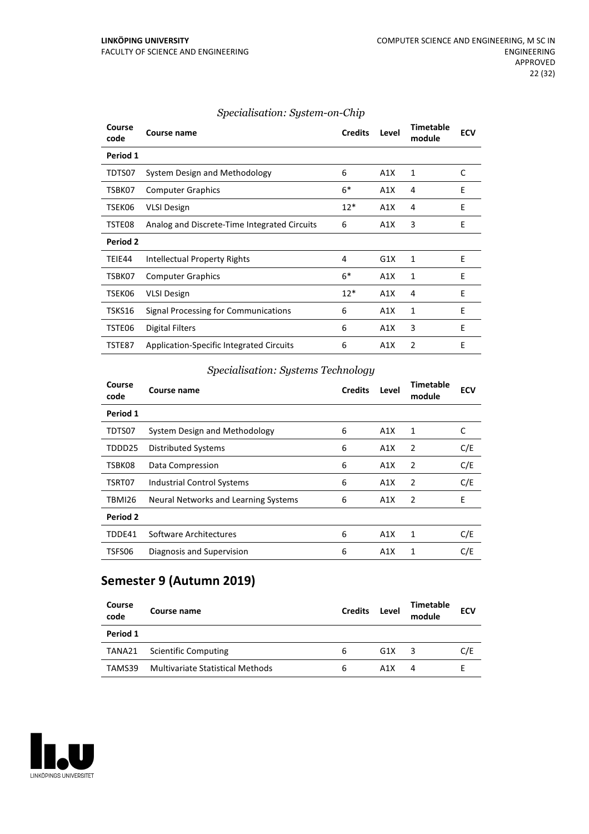| Course<br>code | Course name                                     | <b>Credits</b> | Level | <b>Timetable</b><br>module | <b>ECV</b> |
|----------------|-------------------------------------------------|----------------|-------|----------------------------|------------|
| Period 1       |                                                 |                |       |                            |            |
| TDTS07         | System Design and Methodology                   | 6              | A1X   | 1                          | C          |
| TSBK07         | <b>Computer Graphics</b>                        | $6*$           | A1X   | 4                          | E          |
| TSEK06         | <b>VLSI Design</b>                              | $12*$          | A1X   | 4                          | Ε          |
| TSTE08         | Analog and Discrete-Time Integrated Circuits    | 6              | A1X   | 3                          | E          |
| Period 2       |                                                 |                |       |                            |            |
| TEIE44         | Intellectual Property Rights                    | 4              | G1X   | 1                          | E          |
| TSBK07         | <b>Computer Graphics</b>                        | $6*$           | A1X   | 1                          | E          |
| TSEK06         | <b>VLSI Design</b>                              | $12*$          | A1X   | 4                          | E          |
| TSKS16         | Signal Processing for Communications            | 6              | A1X   | 1                          | E          |
| TSTE06         | Digital Filters                                 | 6              | A1X   | 3                          | E          |
| TSTE87         | <b>Application-Specific Integrated Circuits</b> | 6              | A1X   | 2                          | E          |

#### *Specialisation: System-on-Chip*

## *Specialisation: Systems Technology*

| Course<br>code | <b>Course name</b>                   | <b>Credits</b> | Level | Timetable<br>module | <b>ECV</b> |
|----------------|--------------------------------------|----------------|-------|---------------------|------------|
| Period 1       |                                      |                |       |                     |            |
| TDTS07         | System Design and Methodology        | 6              | A1X   | 1                   | C          |
| TDDD25         | <b>Distributed Systems</b>           | 6              | A1X   | 2                   | C/E        |
| TSBK08         | Data Compression                     | 6              | A1X   | 2                   | C/E        |
| TSRT07         | Industrial Control Systems           | 6              | A1X   | 2                   | C/E        |
| TBMI26         | Neural Networks and Learning Systems | 6              | A1X   | -2                  | E          |
| Period 2       |                                      |                |       |                     |            |
| TDDE41         | Software Architectures               | 6              | A1X   | 1                   | C/E        |
| TSFS06         | Diagnosis and Supervision            | 6              | A1X   | 1                   | C/E        |

# **Semester 9 (Autumn 2019)**

| Course<br>code | Course name                      | <b>Credits</b> | Level | <b>Timetable</b><br>module | <b>ECV</b> |
|----------------|----------------------------------|----------------|-------|----------------------------|------------|
| Period 1       |                                  |                |       |                            |            |
| TANA21         | <b>Scientific Computing</b>      | 6              | G1X   | 3                          | C/E        |
| TAMS39         | Multivariate Statistical Methods | 6              | A1X   | 4                          |            |

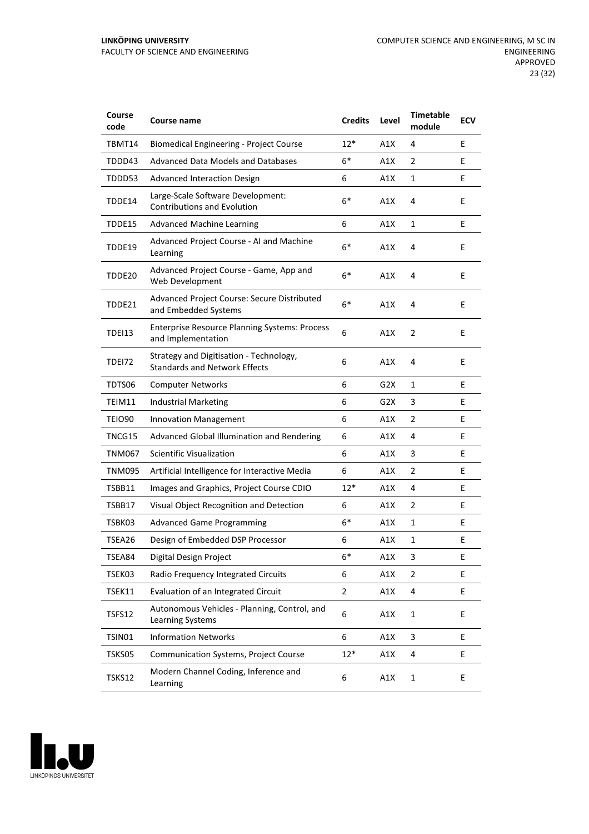| Course<br>code | Course name                                                                     | <b>Credits</b> | Level | <b>Timetable</b><br>module | <b>ECV</b> |
|----------------|---------------------------------------------------------------------------------|----------------|-------|----------------------------|------------|
| TBMT14         | <b>Biomedical Engineering - Project Course</b>                                  | $12*$          | A1X   | 4                          | E          |
| TDDD43         | <b>Advanced Data Models and Databases</b>                                       | 6*             | A1X   | 2                          | E          |
| TDDD53         | <b>Advanced Interaction Design</b>                                              | 6              | A1X   | 1                          | E          |
| TDDE14         | Large-Scale Software Development:<br><b>Contributions and Evolution</b>         | $6*$           | A1X   | 4                          | E          |
| TDDE15         | <b>Advanced Machine Learning</b>                                                | 6              | A1X   | 1                          | E          |
| TDDE19         | Advanced Project Course - AI and Machine<br>Learning                            | $6*$           | A1X   | 4                          | E          |
| TDDE20         | Advanced Project Course - Game, App and<br>Web Development                      | $6*$           | A1X   | 4                          | E          |
| TDDE21         | Advanced Project Course: Secure Distributed<br>and Embedded Systems             | $6*$           | A1X   | 4                          | E          |
| TDEI13         | <b>Enterprise Resource Planning Systems: Process</b><br>and Implementation      | 6              | A1X   | 2                          | E          |
| <b>TDE172</b>  | Strategy and Digitisation - Technology,<br><b>Standards and Network Effects</b> | 6              | A1X   | 4                          | E          |
| TDTS06         | <b>Computer Networks</b>                                                        | 6              | G2X   | 1                          | E          |
| TEIM11         | <b>Industrial Marketing</b>                                                     | 6              | G2X   | 3                          | Ε          |
| TEIO90         | <b>Innovation Management</b>                                                    | 6              | A1X   | 2                          | E          |
| TNCG15         | Advanced Global Illumination and Rendering                                      | 6              | A1X   | 4                          | E          |
| <b>TNM067</b>  | <b>Scientific Visualization</b>                                                 | 6              | A1X   | 3                          | E          |
| <b>TNM095</b>  | Artificial Intelligence for Interactive Media                                   | 6              | A1X   | 2                          | E          |
| <b>TSBB11</b>  | Images and Graphics, Project Course CDIO                                        | $12*$          | A1X   | 4                          | E          |
| TSBB17         | Visual Object Recognition and Detection                                         | 6              | A1X   | 2                          | E          |
| TSBK03         | <b>Advanced Game Programming</b>                                                | $6*$           | A1X   | 1                          | E          |
| TSEA26         | Design of Embedded DSP Processor                                                | 6              | A1X   | 1                          | E          |
| TSEA84         | Digital Design Project                                                          | 6*             | A1X   | 3                          | E          |
| TSEK03         | Radio Frequency Integrated Circuits                                             | 6              | A1X   | 2                          | E          |
| TSEK11         | Evaluation of an Integrated Circuit                                             | $\overline{2}$ | A1X   | 4                          | E          |
| TSFS12         | Autonomous Vehicles - Planning, Control, and<br>Learning Systems                | 6              | A1X   | 1                          | E          |
| TSIN01         | <b>Information Networks</b>                                                     | 6              | A1X   | 3                          | E          |
| TSKS05         | Communication Systems, Project Course                                           | $12*$          | A1X   | 4                          | E          |
| <b>TSKS12</b>  | Modern Channel Coding, Inference and<br>Learning                                | 6              | A1X   | $\mathbf 1$                | E          |

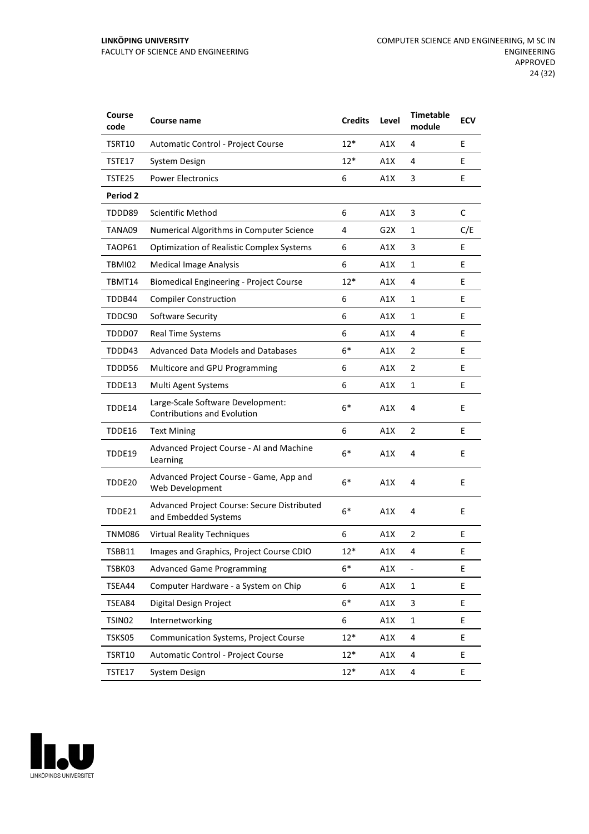| Course<br>code  | <b>Course name</b>                                                      | <b>Credits</b> | Level | <b>Timetable</b><br>module | <b>ECV</b> |
|-----------------|-------------------------------------------------------------------------|----------------|-------|----------------------------|------------|
| TSRT10          | Automatic Control - Project Course                                      | $12*$          | A1X   | 4                          | E          |
| TSTE17          | System Design                                                           | $12*$          | A1X   | 4                          | E          |
| TSTE25          | <b>Power Electronics</b>                                                | 6              | A1X   | 3                          | E          |
| <b>Period 2</b> |                                                                         |                |       |                            |            |
| TDDD89          | Scientific Method                                                       | 6              | A1X   | 3                          | C          |
| TANA09          | Numerical Algorithms in Computer Science                                | 4              | G2X   | 1                          | C/E        |
| TAOP61          | <b>Optimization of Realistic Complex Systems</b>                        | 6              | A1X   | 3                          | E          |
| TBMI02          | <b>Medical Image Analysis</b>                                           | 6              | A1X   | 1                          | E          |
| TBMT14          | <b>Biomedical Engineering - Project Course</b>                          | $12*$          | A1X   | 4                          | E.         |
| TDDB44          | <b>Compiler Construction</b>                                            | 6              | A1X   | 1                          | E          |
| TDDC90          | Software Security                                                       | 6              | A1X   | 1                          | E          |
| TDDD07          | Real Time Systems                                                       | 6              | A1X   | 4                          | E          |
| TDDD43          | <b>Advanced Data Models and Databases</b>                               | $6*$           | A1X   | $\overline{2}$             | E          |
| TDDD56          | Multicore and GPU Programming                                           | 6              | A1X   | 2                          | E          |
| TDDE13          | Multi Agent Systems                                                     | 6              | A1X   | 1                          | E          |
| TDDE14          | Large-Scale Software Development:<br><b>Contributions and Evolution</b> | $6*$           | A1X   | 4                          | E          |
| TDDE16          | <b>Text Mining</b>                                                      | 6              | A1X   | $\overline{2}$             | E          |
| TDDE19          | Advanced Project Course - AI and Machine<br>Learning                    | $6*$           | A1X   | 4                          | E          |
| TDDE20          | Advanced Project Course - Game, App and<br>Web Development              | $6*$           | A1X   | 4                          | E          |
| TDDE21          | Advanced Project Course: Secure Distributed<br>and Embedded Systems     | $6*$           | A1X   | 4                          | E          |
| <b>TNM086</b>   | <b>Virtual Reality Techniques</b>                                       | 6              | A1X   | 2                          | E          |
| TSBB11          | Images and Graphics, Project Course CDIO                                | $12*$          | A1X   | 4                          | Ε          |
| TSBK03          | <b>Advanced Game Programming</b>                                        | $6*$           | A1X   | $\frac{1}{2}$              | E.         |
| TSEA44          | Computer Hardware - a System on Chip                                    | 6              | A1X   | 1                          | E          |
| TSEA84          | Digital Design Project                                                  | $6*$           | A1X   | 3                          | E          |
| TSIN02          | Internetworking                                                         | 6              | A1X   | $\mathbf{1}$               | E          |
| TSKS05          | Communication Systems, Project Course                                   | $12*$          | A1X   | 4                          | E          |
| TSRT10          | Automatic Control - Project Course                                      | $12*$          | A1X   | 4                          | E          |
| TSTE17          | System Design                                                           | $12*$          | A1X   | 4                          | Ε          |

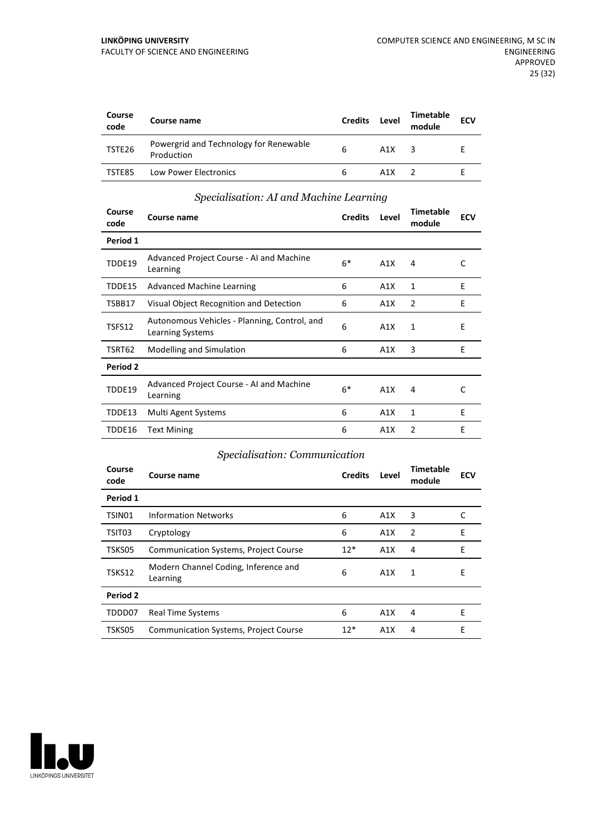| Course<br>code | Course name                                          | <b>Credits</b> | Level | <b>Timetable</b><br>module | <b>ECV</b> |
|----------------|------------------------------------------------------|----------------|-------|----------------------------|------------|
| TSTE26         | Powergrid and Technology for Renewable<br>Production | 6              | A1X   | ર                          |            |
| TSTE85         | Low Power Electronics                                | 6              | A1X   |                            |            |

#### *Specialisation: AI and Machine Learning*

| Course<br>code | Course name                                                      | <b>Credits</b> | Level | <b>Timetable</b><br>module | <b>ECV</b> |
|----------------|------------------------------------------------------------------|----------------|-------|----------------------------|------------|
| Period 1       |                                                                  |                |       |                            |            |
| TDDE19         | Advanced Project Course - AI and Machine<br>Learning             | $6*$           | A1X   | 4                          | C          |
| TDDE15         | <b>Advanced Machine Learning</b>                                 | 6              | A1X   | $\mathbf{1}$               | E          |
| TSBB17         | Visual Object Recognition and Detection                          | 6              | A1X   | 2                          | E          |
| TSFS12         | Autonomous Vehicles - Planning, Control, and<br>Learning Systems | 6              | A1X   | 1                          | E          |
| TSRT62         | Modelling and Simulation                                         | 6              | A1X   | 3                          | E          |
| Period 2       |                                                                  |                |       |                            |            |
| TDDE19         | Advanced Project Course - AI and Machine<br>Learning             | $6*$           | A1X   | 4                          | C          |
| TDDE13         | Multi Agent Systems                                              | 6              | A1X   | 1                          | E          |
| TDDE16         | <b>Text Mining</b>                                               | 6              | A1X   | 2                          | E          |

## *Specialisation: Communication*

| Course<br>code | Course name                                      | <b>Credits</b> | Level | Timetable<br>module | <b>ECV</b> |
|----------------|--------------------------------------------------|----------------|-------|---------------------|------------|
| Period 1       |                                                  |                |       |                     |            |
| TSIN01         | <b>Information Networks</b>                      | 6              | A1X   | 3                   | C          |
| TSIT03         | Cryptology                                       | 6              | A1X   | 2                   | E          |
| TSKS05         | <b>Communication Systems, Project Course</b>     | $12*$          | A1X   | 4                   | F          |
| TSKS12         | Modern Channel Coding, Inference and<br>Learning | 6              | A1X   | 1                   | E          |
| Period 2       |                                                  |                |       |                     |            |
| TDDD07         | <b>Real Time Systems</b>                         | 6              | A1X   | 4                   | E          |
| TSKS05         | <b>Communication Systems, Project Course</b>     | $12*$          | A1X   | 4                   | Е          |

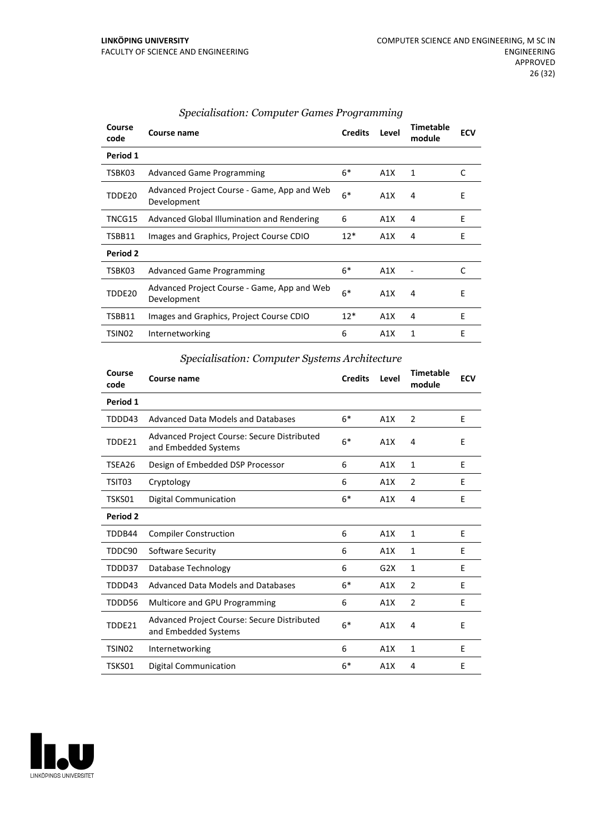| Period 1<br>$6*$<br>TSBK03<br>A1X<br>1<br>C<br><b>Advanced Game Programming</b><br>Advanced Project Course - Game, App and Web<br>$6*$<br>TDDE20<br>E<br>A1X<br>4<br>Development<br>E<br>TNCG15<br>Advanced Global Illumination and Rendering<br>6<br>4<br>A1X<br>E<br>$12*$<br>Images and Graphics, Project Course CDIO<br>TSBB11<br>A1X<br>4<br>Period 2<br>$6*$<br>A1X<br>C<br>TSBK03<br><b>Advanced Game Programming</b><br>Advanced Project Course - Game, App and Web<br>$6*$<br>TDDE20<br>A1X<br>E<br>4 |
|----------------------------------------------------------------------------------------------------------------------------------------------------------------------------------------------------------------------------------------------------------------------------------------------------------------------------------------------------------------------------------------------------------------------------------------------------------------------------------------------------------------|
|                                                                                                                                                                                                                                                                                                                                                                                                                                                                                                                |
|                                                                                                                                                                                                                                                                                                                                                                                                                                                                                                                |
|                                                                                                                                                                                                                                                                                                                                                                                                                                                                                                                |
|                                                                                                                                                                                                                                                                                                                                                                                                                                                                                                                |
|                                                                                                                                                                                                                                                                                                                                                                                                                                                                                                                |
|                                                                                                                                                                                                                                                                                                                                                                                                                                                                                                                |
|                                                                                                                                                                                                                                                                                                                                                                                                                                                                                                                |
| Development                                                                                                                                                                                                                                                                                                                                                                                                                                                                                                    |
| E<br>$12*$<br>TSBB11<br>A1X<br>Images and Graphics, Project Course CDIO<br>4                                                                                                                                                                                                                                                                                                                                                                                                                                   |
| E<br>6<br>1<br>TSIN02<br>A1X<br>Internetworking                                                                                                                                                                                                                                                                                                                                                                                                                                                                |

#### *Specialisation: Computer Games Programming*

#### *Specialisation: Computer Systems Architecture*

| Course<br>code     | Course name                                                                | <b>Credits</b> | Level | <b>Timetable</b><br>module | <b>ECV</b> |
|--------------------|----------------------------------------------------------------------------|----------------|-------|----------------------------|------------|
| Period 1           |                                                                            |                |       |                            |            |
| TDDD43             | Advanced Data Models and Databases                                         | $6*$           | A1X   | 2                          | E          |
| TDDE21             | <b>Advanced Project Course: Secure Distributed</b><br>and Embedded Systems | $6*$           | A1X   | 4                          | E          |
| TSEA26             | Design of Embedded DSP Processor                                           | 6              | A1X   | $\mathbf{1}$               | E          |
| TSIT03             | Cryptology                                                                 | 6              | A1X   | $\overline{2}$             | E          |
| TSKS01             | <b>Digital Communication</b>                                               | $6*$           | A1X   | 4                          | E          |
| Period 2           |                                                                            |                |       |                            |            |
| TDDB44             | <b>Compiler Construction</b>                                               | 6              | A1X   | 1                          | E          |
| TDDC90             | Software Security                                                          | 6              | A1X   | 1                          | F          |
| TDDD37             | Database Technology                                                        | 6              | G2X   | 1                          | E          |
| TDDD43             | Advanced Data Models and Databases                                         | $6*$           | A1X   | $\overline{2}$             | E          |
| TDDD56             | Multicore and GPU Programming                                              | 6              | A1X   | $\overline{2}$             | E          |
| TDDE21             | Advanced Project Course: Secure Distributed<br>and Embedded Systems        | $6*$           | A1X   | 4                          | E          |
| TSIN <sub>02</sub> | Internetworking                                                            | 6              | A1X   | 1                          | E          |
| TSKS01             | Digital Communication                                                      | $6*$           | A1X   | 4                          | E          |

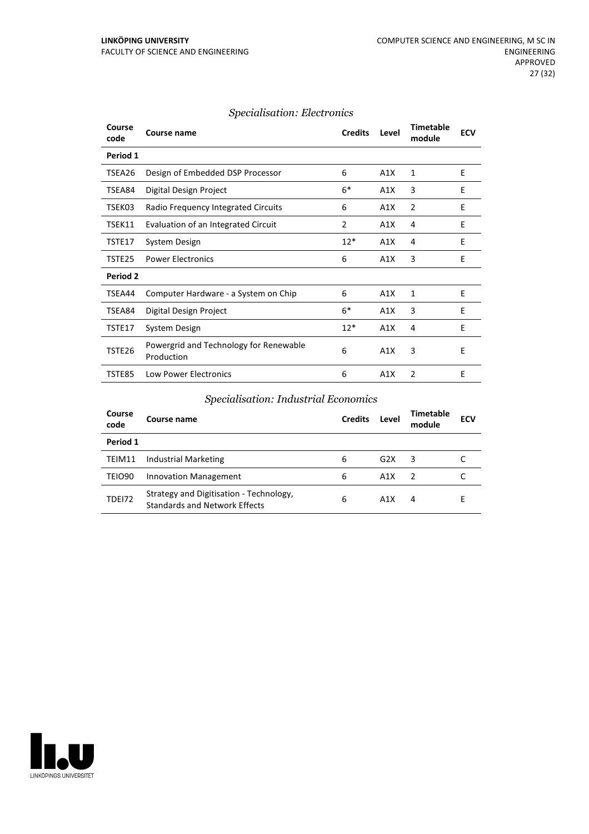| Course<br>code | Course name                                          | <b>Credits</b> | Level            | <b>Timetable</b><br>module | <b>ECV</b> |
|----------------|------------------------------------------------------|----------------|------------------|----------------------------|------------|
| Period 1       |                                                      |                |                  |                            |            |
| TSEA26         | Design of Embedded DSP Processor                     | 6              | A <sub>1</sub> X | 1                          | E          |
| TSEA84         | Digital Design Project                               | $6*$           | A1X              | 3                          | E          |
| TSEK03         | Radio Frequency Integrated Circuits                  | 6              | A1X              | 2                          | E          |
| TSEK11         | Evaluation of an Integrated Circuit                  | 2              | A1X              | 4                          | E          |
| TSTE17         | System Design                                        | $12*$          | A1X              | 4                          | E          |
| TSTE25         | <b>Power Electronics</b>                             | 6              | A1X              | 3                          | E          |
| Period 2       |                                                      |                |                  |                            |            |
| TSEA44         | Computer Hardware - a System on Chip                 | 6              | A1X              | 1                          | E          |
| TSEA84         | Digital Design Project                               | $6*$           | A1X              | 3                          | E          |
| TSTE17         | System Design                                        | $12*$          | A1X              | 4                          | E          |
| TSTE26         | Powergrid and Technology for Renewable<br>Production | 6              | A1X              | 3                          | E          |
| TSTE85         | <b>Low Power Electronics</b>                         | 6              | A1X              | $\overline{2}$             | E          |

## *Specialisation: Industrial Economics*

| Course<br>code     | Course name                                                                     | <b>Credits</b> | Level | <b>Timetable</b><br>module | <b>ECV</b> |
|--------------------|---------------------------------------------------------------------------------|----------------|-------|----------------------------|------------|
| Period 1           |                                                                                 |                |       |                            |            |
| TEIM11             | Industrial Marketing                                                            | 6              | G2X   | 3                          |            |
| TEIO <sub>90</sub> | <b>Innovation Management</b>                                                    | 6              | A1X   | - 2                        |            |
| <b>TDE172</b>      | Strategy and Digitisation - Technology,<br><b>Standards and Network Effects</b> | 6              | A1X   | 4                          |            |

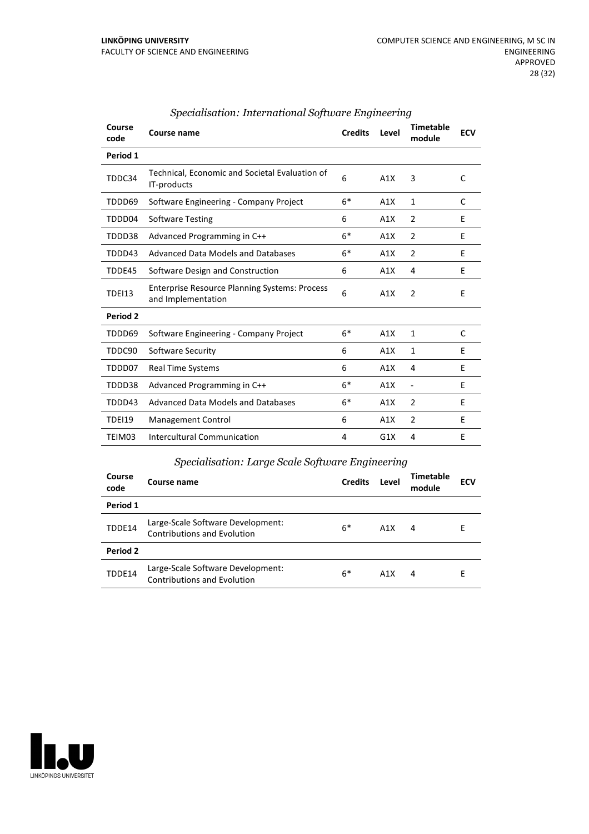| Course<br>code | Course name                                                                | <b>Credits</b> | Level | <b>Timetable</b><br>module   | <b>ECV</b> |
|----------------|----------------------------------------------------------------------------|----------------|-------|------------------------------|------------|
| Period 1       |                                                                            |                |       |                              |            |
| TDDC34         | Technical, Economic and Societal Evaluation of<br>IT-products              | 6              | A1X   | 3                            | C          |
| TDDD69         | Software Engineering - Company Project                                     | $6*$           | A1X   | 1                            | C          |
| TDDD04         | <b>Software Testing</b>                                                    | 6              | A1X   | $\overline{2}$               | E          |
| TDDD38         | Advanced Programming in C++                                                | $6*$           | A1X   | $\overline{2}$               | E          |
| TDDD43         | Advanced Data Models and Databases                                         | $6*$           | A1X   | $\overline{2}$               | E          |
| TDDE45         | Software Design and Construction                                           | 6              | A1X   | 4                            | E          |
| <b>TDEI13</b>  | <b>Enterprise Resource Planning Systems: Process</b><br>and Implementation | 6              | A1X   | $\overline{2}$               | E          |
| Period 2       |                                                                            |                |       |                              |            |
| TDDD69         | Software Engineering - Company Project                                     | $6*$           | A1X   | 1                            | C          |
| TDDC90         | Software Security                                                          | 6              | A1X   | 1                            | E          |
| TDDD07         | <b>Real Time Systems</b>                                                   | 6              | A1X   | 4                            | E          |
| TDDD38         | Advanced Programming in C++                                                | $6*$           | A1X   | $\qquad \qquad \blacksquare$ | E          |
| TDDD43         | Advanced Data Models and Databases                                         | $6*$           | A1X   | $\overline{2}$               | E          |
| TDEI19         | Management Control                                                         | 6              | A1X   | $\overline{2}$               | E          |
| TEIM03         | Intercultural Communication                                                | 4              | G1X   | 4                            | E          |
|                |                                                                            |                |       |                              |            |

#### *Specialisation: International Software Engineering*

#### *Specialisation: Large Scale Software Engineering*

| Course<br>code | Course name                                                             | <b>Credits</b> | Level | <b>Timetable</b><br>module | <b>ECV</b> |
|----------------|-------------------------------------------------------------------------|----------------|-------|----------------------------|------------|
| Period 1       |                                                                         |                |       |                            |            |
| TDDE14         | Large-Scale Software Development:<br><b>Contributions and Evolution</b> | $6*$           | A1X   | 4                          | Е          |
| Period 2       |                                                                         |                |       |                            |            |
| TDDE14         | Large-Scale Software Development:<br><b>Contributions and Evolution</b> | $6*$           | A1X   | 4                          | Е          |

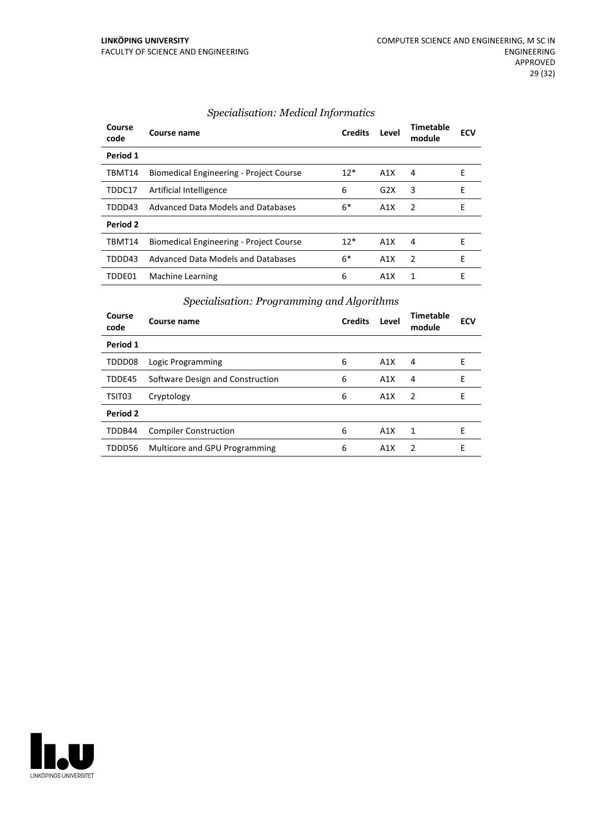| Course<br>code | Course name                                    | <b>Credits</b> | Level | Timetable<br>module | <b>ECV</b> |
|----------------|------------------------------------------------|----------------|-------|---------------------|------------|
| Period 1       |                                                |                |       |                     |            |
| TBMT14         | Biomedical Engineering - Project Course        | $12*$          | A1X   | 4                   | E          |
| TDDC17         | Artificial Intelligence                        | 6              | G2X   | 3                   | E          |
| TDDD43         | Advanced Data Models and Databases             | $6*$           | A1X   | $\mathcal{P}$       | E          |
| Period 2       |                                                |                |       |                     |            |
| TBMT14         | <b>Biomedical Engineering - Project Course</b> | $12*$          | A1X   | 4                   | F          |
| TDDD43         | Advanced Data Models and Databases             | $6*$           | A1X   | $\mathcal{P}$       | E          |
| TDDE01         | Machine Learning                               | 6              | A1X   | 1                   | F          |

## *Specialisation: Medical Informatics*

## *Specialisation: Programming and Algorithms*

| Course<br>code | Course name                      | <b>Credits</b> | Level | Timetable<br>module | <b>ECV</b> |
|----------------|----------------------------------|----------------|-------|---------------------|------------|
| Period 1       |                                  |                |       |                     |            |
| TDDD08         | Logic Programming                | 6              | A1X   | 4                   | Е          |
| TDDE45         | Software Design and Construction | 6              | A1X   | 4                   | F          |
| TSIT03         | Cryptology                       | 6              | A1X   | $\overline{2}$      | F          |
| Period 2       |                                  |                |       |                     |            |
| TDDB44         | <b>Compiler Construction</b>     | 6              | A1X   | 1                   | F          |
| TDDD56         | Multicore and GPU Programming    | 6              | A1X   | 2                   | F          |

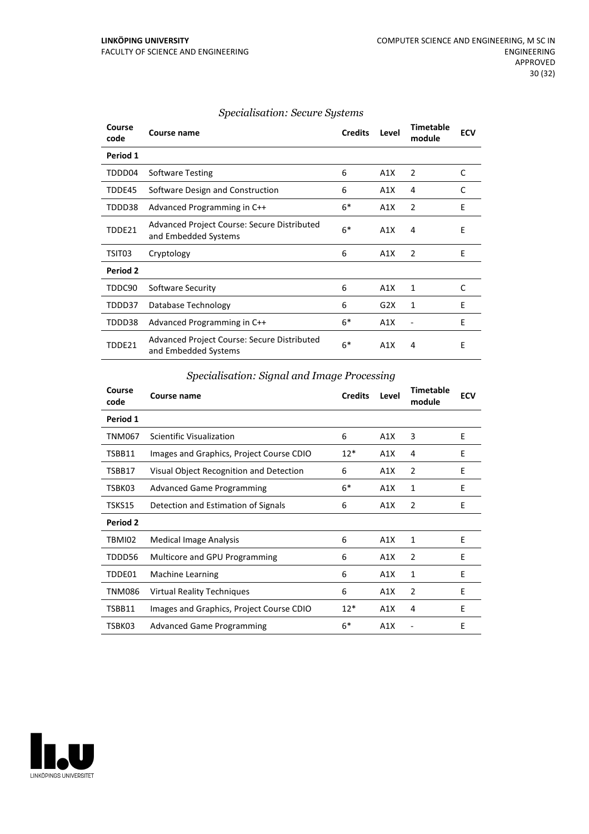| Course<br>code | Course name                                                         | <b>Credits</b> | Level | <b>Timetable</b><br>module | <b>ECV</b> |
|----------------|---------------------------------------------------------------------|----------------|-------|----------------------------|------------|
| Period 1       |                                                                     |                |       |                            |            |
| TDDD04         | <b>Software Testing</b>                                             | 6              | A1X   | 2                          | C          |
| TDDE45         | Software Design and Construction                                    | 6              | A1X   | 4                          | C          |
| TDDD38         | Advanced Programming in C++                                         | $6*$           | A1X   | $\overline{2}$             | F          |
| TDDE21         | Advanced Project Course: Secure Distributed<br>and Embedded Systems | $6*$           | A1X   | 4                          | E          |
| TSIT03         | Cryptology                                                          | 6              | A1X   | 2                          | E          |
| Period 2       |                                                                     |                |       |                            |            |
| TDDC90         | Software Security                                                   | 6              | A1X   | 1                          | C          |
| TDDD37         | Database Technology                                                 | 6              | G2X   | 1                          | E          |
| TDDD38         | Advanced Programming in C++                                         | $6*$           | A1X   |                            | E          |
| TDDE21         | Advanced Project Course: Secure Distributed<br>and Embedded Systems | $6*$           | A1X   | 4                          | E          |

#### *Specialisation: Secure Systems*

*Specialisation: Signal and Image Processing*

| Course<br>code  | Course name                              | <b>Credits</b> | Level | <b>Timetable</b><br>module | <b>ECV</b> |
|-----------------|------------------------------------------|----------------|-------|----------------------------|------------|
| Period 1        |                                          |                |       |                            |            |
| <b>TNM067</b>   | Scientific Visualization                 | 6              | A1X   | 3                          | E          |
| TSBB11          | Images and Graphics, Project Course CDIO | $12*$          | A1X   | 4                          | E          |
| TSBB17          | Visual Object Recognition and Detection  | 6              | A1X   | 2                          | E          |
| TSBK03          | <b>Advanced Game Programming</b>         | $6*$           | A1X   | 1                          | E          |
| TSKS15          | Detection and Estimation of Signals      | 6              | A1X   | $\overline{2}$             | E          |
| <b>Period 2</b> |                                          |                |       |                            |            |
| TBMI02          | Medical Image Analysis                   | 6              | A1X   | 1                          | E          |
| TDDD56          | Multicore and GPU Programming            | 6              | A1X   | $\overline{2}$             | E          |
| TDDE01          | <b>Machine Learning</b>                  | 6              | A1X   | 1                          | E          |
| <b>TNM086</b>   | <b>Virtual Reality Techniques</b>        | 6              | A1X   | 2                          | E          |
| TSBB11          | Images and Graphics, Project Course CDIO | $12*$          | A1X   | 4                          | E          |
| TSBK03          | <b>Advanced Game Programming</b>         | $6*$           | A1X   |                            | E          |

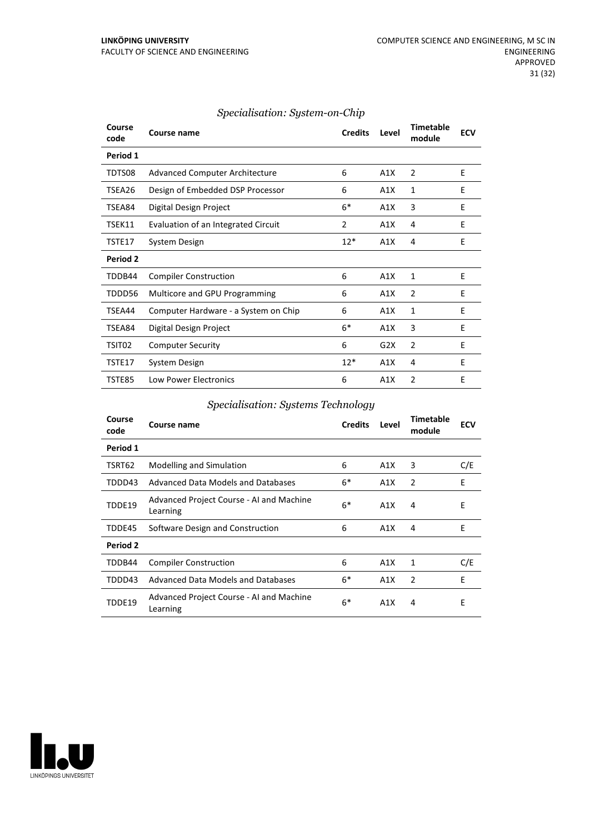| Course<br>code | <b>Course name</b>                    | <b>Credits</b> | Level | <b>Timetable</b><br>module | <b>ECV</b> |
|----------------|---------------------------------------|----------------|-------|----------------------------|------------|
| Period 1       |                                       |                |       |                            |            |
| TDTS08         | <b>Advanced Computer Architecture</b> | 6              | A1X   | 2                          | E          |
| TSEA26         | Design of Embedded DSP Processor      | 6              | A1X   | 1                          | E          |
| TSEA84         | Digital Design Project                | $6*$           | A1X   | 3                          | E          |
| TSEK11         | Evaluation of an Integrated Circuit   | 2              | A1X   | 4                          | E          |
| TSTE17         | System Design                         | $12*$          | A1X   | 4                          | E          |
| Period 2       |                                       |                |       |                            |            |
| TDDB44         | <b>Compiler Construction</b>          | 6              | A1X   | 1                          | E          |
| TDDD56         | Multicore and GPU Programming         | 6              | A1X   | $\overline{2}$             | E          |
| TSEA44         | Computer Hardware - a System on Chip  | 6              | A1X   | 1                          | E          |
| TSEA84         | Digital Design Project                | $6*$           | A1X   | 3                          | E          |
| TSIT02         | <b>Computer Security</b>              | 6              | G2X   | $\overline{2}$             | E          |
| TSTE17         | System Design                         | $12*$          | A1X   | 4                          | E          |
| <b>TSTE85</b>  | <b>Low Power Electronics</b>          | 6              | A1X   | $\overline{2}$             | E          |

## *Specialisation: System-on-Chip*

## *Specialisation: Systems Technology*

| Course<br>code  | Course name                                          | <b>Credits</b> | Level | Timetable<br>module | <b>ECV</b> |
|-----------------|------------------------------------------------------|----------------|-------|---------------------|------------|
| Period 1        |                                                      |                |       |                     |            |
| TSRT62          | Modelling and Simulation                             | 6              | A1X   | 3                   | C/E        |
| TDDD43          | Advanced Data Models and Databases                   | $6*$           | A1X   | $\overline{2}$      | E          |
| TDDE19          | Advanced Project Course - AI and Machine<br>Learning | $6*$           | A1X   | 4                   | Ε          |
| TDDE45          | Software Design and Construction                     | 6              | A1X   | 4                   | E          |
| <b>Period 2</b> |                                                      |                |       |                     |            |
| TDDB44          | <b>Compiler Construction</b>                         | 6              | A1X   | 1                   | C/E        |
| TDDD43          | Advanced Data Models and Databases                   | $6*$           | A1X   | $\mathcal{P}$       | E          |
| TDDF19          | Advanced Project Course - AI and Machine<br>Learning | $6*$           | A1X   | 4                   | E          |